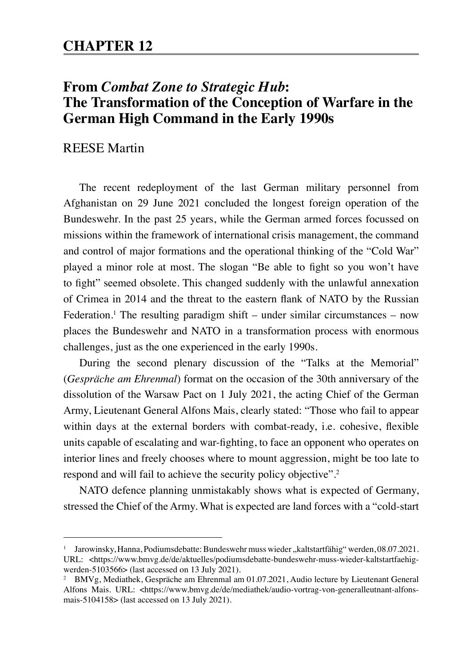## **CHAPTER 12**

# **From** *Combat Zone to Strategic Hub***: The Transformation of the Conception of Warfare in the German High Command in the Early 1990s**

#### REESE Martin

The recent redeployment of the last German military personnel from Afghanistan on 29 June 2021 concluded the longest foreign operation of the Bundeswehr. In the past 25 years, while the German armed forces focussed on missions within the framework of international crisis management, the command and control of major formations and the operational thinking of the "Cold War" played a minor role at most. The slogan "Be able to fight so you won't have to fight" seemed obsolete. This changed suddenly with the unlawful annexation of Crimea in 2014 and the threat to the eastern flank of NATO by the Russian Federation.<sup>1</sup> The resulting paradigm shift – under similar circumstances – now places the Bundeswehr and NATO in a transformation process with enormous challenges, just as the one experienced in the early 1990s.

During the second plenary discussion of the "Talks at the Memorial" (*Gespräche am Ehrenmal*) format on the occasion of the 30th anniversary of the dissolution of the Warsaw Pact on 1 July 2021, the acting Chief of the German Army, Lieutenant General Alfons Mais, clearly stated: "Those who fail to appear within days at the external borders with combat-ready, i.e. cohesive, flexible units capable of escalating and war-fighting, to face an opponent who operates on interior lines and freely chooses where to mount aggression, might be too late to respond and will fail to achieve the security policy objective". 2

NATO defence planning unmistakably shows what is expected of Germany, stressed the Chief of the Army. What is expected are land forces with a "cold-start

<sup>&</sup>lt;sup>1</sup> Jarowinsky, Hanna, Podiumsdebatte: Bundeswehr muss wieder "kaltstartfähig" werden, 08.07.2021. URL: <https://www.bmvg.de/de/aktuelles/podiumsdebatte-bundeswehr-muss-wieder-kaltstartfaehigwerden-5103566> (last accessed on 13 July 2021).

<sup>2</sup> BMVg, Mediathek, Gespräche am Ehrenmal am 01.07.2021, Audio lecture by Lieutenant General Alfons Mais. URL: <https://www.bmvg.de/de/mediathek/audio-vortrag-von-generalleutnant-alfonsmais-5104158> (last accessed on 13 July 2021).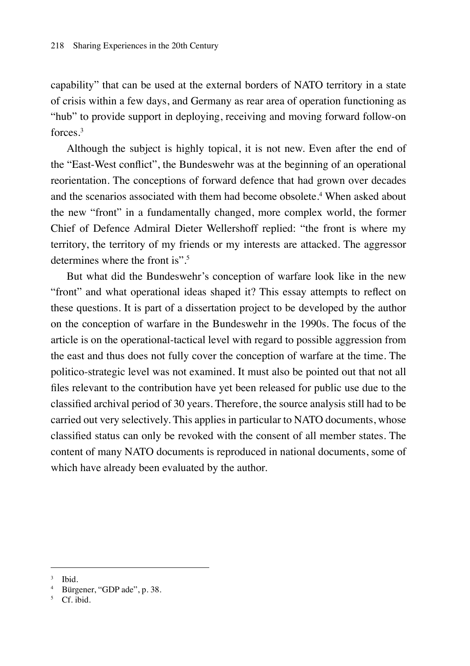capability" that can be used at the external borders of NATO territory in a state of crisis within a few days, and Germany as rear area of operation functioning as "hub" to provide support in deploying, receiving and moving forward follow-on forces<sup>3</sup>

Although the subject is highly topical, it is not new. Even after the end of the "East-West conflict", the Bundeswehr was at the beginning of an operational reorientation. The conceptions of forward defence that had grown over decades and the scenarios associated with them had become obsolete.<sup>4</sup> When asked about the new "front" in a fundamentally changed, more complex world, the former Chief of Defence Admiral Dieter Wellershoff replied: "the front is where my territory, the territory of my friends or my interests are attacked. The aggressor determines where the front is".5

But what did the Bundeswehr's conception of warfare look like in the new "front" and what operational ideas shaped it? This essay attempts to reflect on these questions. It is part of a dissertation project to be developed by the author on the conception of warfare in the Bundeswehr in the 1990s. The focus of the article is on the operational-tactical level with regard to possible aggression from the east and thus does not fully cover the conception of warfare at the time. The politico-strategic level was not examined. It must also be pointed out that not all files relevant to the contribution have yet been released for public use due to the classified archival period of 30 years. Therefore, the source analysis still had to be carried out very selectively. This applies in particular to NATO documents, whose classified status can only be revoked with the consent of all member states. The content of many NATO documents is reproduced in national documents, some of which have already been evaluated by the author.

<sup>3</sup> Ibid.

<sup>4</sup> Bürgener, "GDP ade", p. 38.

 $5$  Cf ibid.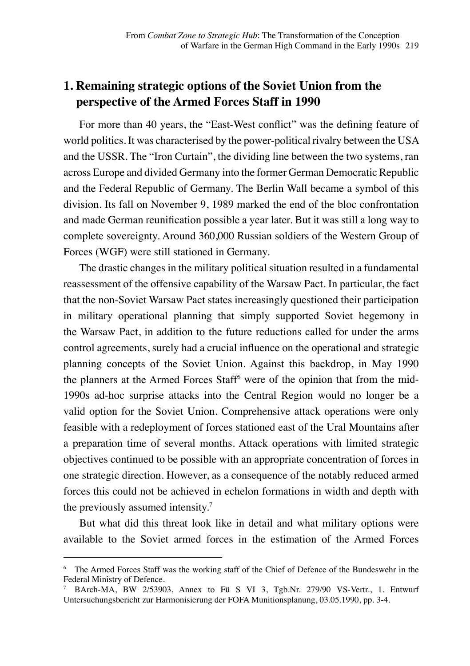## **1. Remaining strategic options of the Soviet Union from the perspective of the Armed Forces Staff in 1990**

For more than 40 years, the "East-West conflict" was the defining feature of world politics. It was characterised by the power-political rivalry between the USA and the USSR. The "Iron Curtain", the dividing line between the two systems, ran across Europe and divided Germany into the former German Democratic Republic and the Federal Republic of Germany. The Berlin Wall became a symbol of this division. Its fall on November 9, 1989 marked the end of the bloc confrontation and made German reunification possible a year later. But it was still a long way to complete sovereignty. Around 360,000 Russian soldiers of the Western Group of Forces (WGF) were still stationed in Germany.

The drastic changes in the military political situation resulted in a fundamental reassessment of the offensive capability of the Warsaw Pact. In particular, the fact that the non-Soviet Warsaw Pact states increasingly questioned their participation in military operational planning that simply supported Soviet hegemony in the Warsaw Pact, in addition to the future reductions called for under the arms control agreements, surely had a crucial influence on the operational and strategic planning concepts of the Soviet Union. Against this backdrop, in May 1990 the planners at the Armed Forces Staff<sup>6</sup> were of the opinion that from the mid-1990s ad-hoc surprise attacks into the Central Region would no longer be a valid option for the Soviet Union. Comprehensive attack operations were only feasible with a redeployment of forces stationed east of the Ural Mountains after a preparation time of several months. Attack operations with limited strategic objectives continued to be possible with an appropriate concentration of forces in one strategic direction. However, as a consequence of the notably reduced armed forces this could not be achieved in echelon formations in width and depth with the previously assumed intensity.<sup>7</sup>

But what did this threat look like in detail and what military options were available to the Soviet armed forces in the estimation of the Armed Forces

<sup>6</sup> The Armed Forces Staff was the working staff of the Chief of Defence of the Bundeswehr in the Federal Ministry of Defence.<br>
<sup>7</sup> BArch-MA BW 2/5390

<sup>7</sup> BArch-MA, BW 2/53903, Annex to Fü S VI 3, Tgb.Nr. 279/90 VS-Vertr., 1. Entwurf Untersuchungsbericht zur Harmonisierung der FOFA Munitionsplanung, 03.05.1990, pp. 3-4.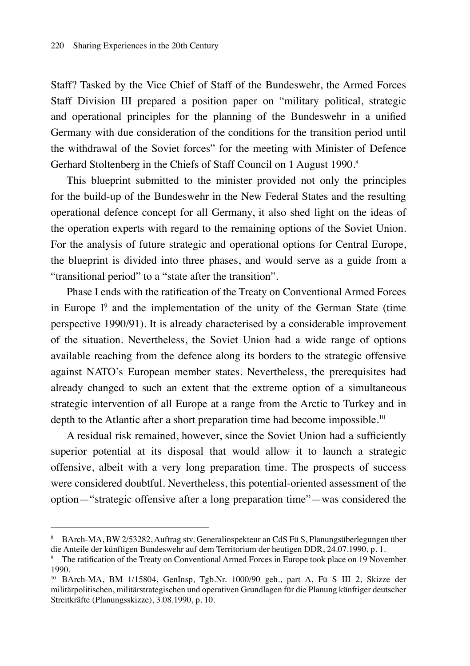Staff? Tasked by the Vice Chief of Staff of the Bundeswehr, the Armed Forces Staff Division III prepared a position paper on "military political, strategic and operational principles for the planning of the Bundeswehr in a unified Germany with due consideration of the conditions for the transition period until the withdrawal of the Soviet forces" for the meeting with Minister of Defence Gerhard Stoltenberg in the Chiefs of Staff Council on 1 August 1990.<sup>8</sup>

This blueprint submitted to the minister provided not only the principles for the build-up of the Bundeswehr in the New Federal States and the resulting operational defence concept for all Germany, it also shed light on the ideas of the operation experts with regard to the remaining options of the Soviet Union. For the analysis of future strategic and operational options for Central Europe, the blueprint is divided into three phases, and would serve as a guide from a "transitional period" to a "state after the transition".

Phase I ends with the ratification of the Treaty on Conventional Armed Forces in Europe  $I^9$  and the implementation of the unity of the German State (time perspective 1990/91). It is already characterised by a considerable improvement of the situation. Nevertheless, the Soviet Union had a wide range of options available reaching from the defence along its borders to the strategic offensive against NATO's European member states. Nevertheless, the prerequisites had already changed to such an extent that the extreme option of a simultaneous strategic intervention of all Europe at a range from the Arctic to Turkey and in depth to the Atlantic after a short preparation time had become impossible.<sup>10</sup>

A residual risk remained, however, since the Soviet Union had a sufficiently superior potential at its disposal that would allow it to launch a strategic offensive, albeit with a very long preparation time. The prospects of success were considered doubtful. Nevertheless, this potential-oriented assessment of the option—"strategic offensive after a long preparation time"—was considered the

<sup>8</sup> BArch-MA, BW 2/53282, Auftrag stv. Generalinspekteur an CdS Fü S, Planungsüberlegungen über die Anteile der künftigen Bundeswehr auf dem Territorium der heutigen DDR, 24.07.1990, p. 1.

<sup>9</sup> The ratification of the Treaty on Conventional Armed Forces in Europe took place on 19 November 1990.

<sup>10</sup> BArch-MA, BM 1/15804, GenInsp, Tgb.Nr. 1000/90 geh., part A, Fü S III 2, Skizze der militärpolitischen, militärstrategischen und operativen Grundlagen für die Planung künftiger deutscher Streitkräfte (Planungsskizze), 3.08.1990, p. 10.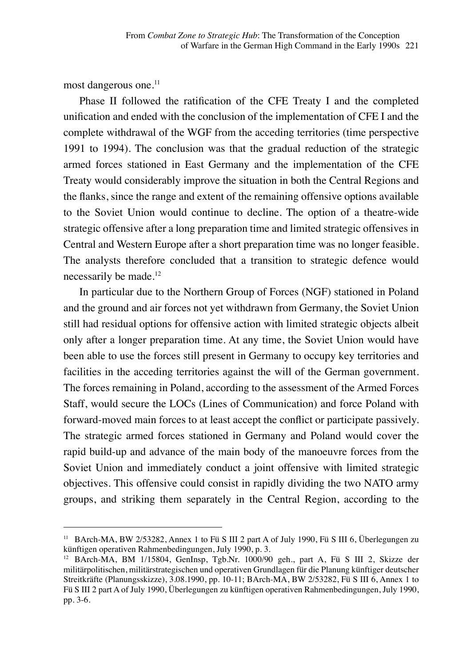most dangerous one.<sup>11</sup>

Phase II followed the ratification of the CFE Treaty I and the completed unification and ended with the conclusion of the implementation of CFE I and the complete withdrawal of the WGF from the acceding territories (time perspective 1991 to 1994). The conclusion was that the gradual reduction of the strategic armed forces stationed in East Germany and the implementation of the CFE Treaty would considerably improve the situation in both the Central Regions and the flanks, since the range and extent of the remaining offensive options available to the Soviet Union would continue to decline. The option of a theatre-wide strategic offensive after a long preparation time and limited strategic offensives in Central and Western Europe after a short preparation time was no longer feasible. The analysts therefore concluded that a transition to strategic defence would necessarily be made.<sup>12</sup>

In particular due to the Northern Group of Forces (NGF) stationed in Poland and the ground and air forces not yet withdrawn from Germany, the Soviet Union still had residual options for offensive action with limited strategic objects albeit only after a longer preparation time. At any time, the Soviet Union would have been able to use the forces still present in Germany to occupy key territories and facilities in the acceding territories against the will of the German government. The forces remaining in Poland, according to the assessment of the Armed Forces Staff, would secure the LOCs (Lines of Communication) and force Poland with forward-moved main forces to at least accept the conflict or participate passively. The strategic armed forces stationed in Germany and Poland would cover the rapid build-up and advance of the main body of the manoeuvre forces from the Soviet Union and immediately conduct a joint offensive with limited strategic objectives. This offensive could consist in rapidly dividing the two NATO army groups, and striking them separately in the Central Region, according to the

<sup>11</sup> BArch-MA, BW 2/53282, Annex 1 to Fü S III 2 part A of July 1990, Fü S III 6, Überlegungen zu künftigen operativen Rahmenbedingungen, July 1990, p. 3.

<sup>&</sup>lt;sup>12</sup> BArch-MA, BM 1/15804, GenInsp, Tgb.Nr. 1000/90 geh., part A, Fü S III 2, Skizze der militärpolitischen, militärstrategischen und operativen Grundlagen für die Planung künftiger deutscher Streitkräfte (Planungsskizze), 3.08.1990, pp. 10-11; BArch-MA, BW 2/53282, Fü S III 6, Annex 1 to Fü S III 2 part A of July 1990, Überlegungen zu künftigen operativen Rahmenbedingungen, July 1990, pp. 3-6.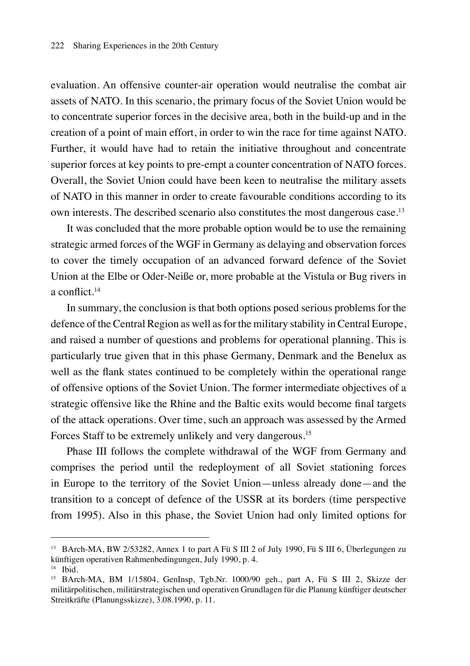evaluation. An offensive counter-air operation would neutralise the combat air assets of NATO. In this scenario, the primary focus of the Soviet Union would be to concentrate superior forces in the decisive area, both in the build-up and in the creation of a point of main effort, in order to win the race for time against NATO. Further, it would have had to retain the initiative throughout and concentrate superior forces at key points to pre-empt a counter concentration of NATO forces. Overall, the Soviet Union could have been keen to neutralise the military assets of NATO in this manner in order to create favourable conditions according to its own interests. The described scenario also constitutes the most dangerous case.<sup>13</sup>

It was concluded that the more probable option would be to use the remaining strategic armed forces of the WGF in Germany as delaying and observation forces to cover the timely occupation of an advanced forward defence of the Soviet Union at the Elbe or Oder-Neiße or, more probable at the Vistula or Bug rivers in a conflict.<sup>14</sup>

In summary, the conclusion is that both options posed serious problems for the defence of the Central Region as well as for the military stability in Central Europe, and raised a number of questions and problems for operational planning. This is particularly true given that in this phase Germany, Denmark and the Benelux as well as the flank states continued to be completely within the operational range of offensive options of the Soviet Union. The former intermediate objectives of a strategic offensive like the Rhine and the Baltic exits would become final targets of the attack operations. Over time, such an approach was assessed by the Armed Forces Staff to be extremely unlikely and very dangerous.<sup>15</sup>

Phase III follows the complete withdrawal of the WGF from Germany and comprises the period until the redeployment of all Soviet stationing forces in Europe to the territory of the Soviet Union—unless already done—and the transition to a concept of defence of the USSR at its borders (time perspective from 1995). Also in this phase, the Soviet Union had only limited options for

<sup>13</sup> BArch-MA, BW 2/53282, Annex 1 to part A Fü S III 2 of July 1990, Fü S III 6, Überlegungen zu künftigen operativen Rahmenbedingungen, July 1990, p. 4.

 $<sup>14</sup>$  Ibid.</sup>

<sup>&</sup>lt;sup>15</sup> BArch-MA, BM 1/15804, GenInsp, Tgb.Nr. 1000/90 geh., part A, Fü S III 2, Skizze der militärpolitischen, militärstrategischen und operativen Grundlagen für die Planung künftiger deutscher Streitkräfte (Planungsskizze), 3.08.1990, p. 11.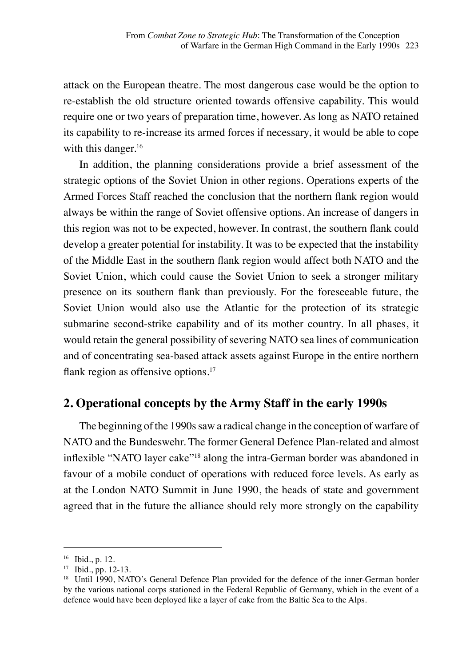attack on the European theatre. The most dangerous case would be the option to re-establish the old structure oriented towards offensive capability. This would require one or two years of preparation time, however. As long as NATO retained its capability to re-increase its armed forces if necessary, it would be able to cope with this danger.<sup>16</sup>

In addition, the planning considerations provide a brief assessment of the strategic options of the Soviet Union in other regions. Operations experts of the Armed Forces Staff reached the conclusion that the northern flank region would always be within the range of Soviet offensive options. An increase of dangers in this region was not to be expected, however. In contrast, the southern flank could develop a greater potential for instability. It was to be expected that the instability of the Middle East in the southern flank region would affect both NATO and the Soviet Union, which could cause the Soviet Union to seek a stronger military presence on its southern flank than previously. For the foreseeable future, the Soviet Union would also use the Atlantic for the protection of its strategic submarine second-strike capability and of its mother country. In all phases, it would retain the general possibility of severing NATO sea lines of communication and of concentrating sea-based attack assets against Europe in the entire northern flank region as offensive options.<sup>17</sup>

#### **2. Operational concepts by the Army Staff in the early 1990s**

The beginning of the 1990s saw a radical change in the conception of warfare of NATO and the Bundeswehr. The former General Defence Plan-related and almost inflexible "NATO layer cake"<sup>18</sup> along the intra-German border was abandoned in favour of a mobile conduct of operations with reduced force levels. As early as at the London NATO Summit in June 1990, the heads of state and government agreed that in the future the alliance should rely more strongly on the capability

<sup>16</sup> Ibid., p. 12.

<sup>17</sup> Ibid., pp. 12-13.

<sup>&</sup>lt;sup>18</sup> Until 1990, NATO's General Defence Plan provided for the defence of the inner-German border by the various national corps stationed in the Federal Republic of Germany, which in the event of a defence would have been deployed like a layer of cake from the Baltic Sea to the Alps.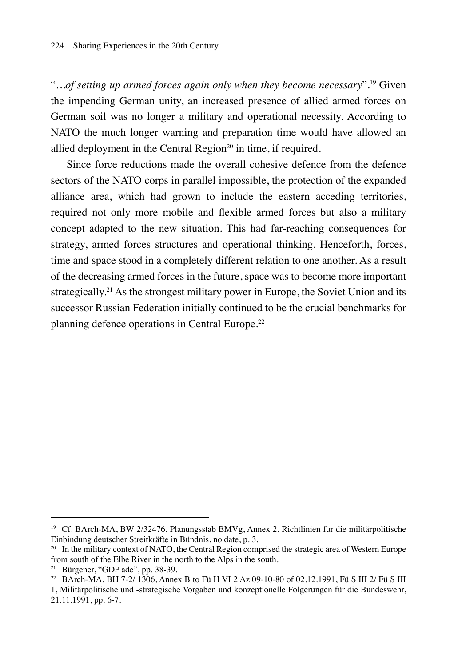"*…of setting up armed forces again only when they become necessary*"*.* <sup>19</sup> Given the impending German unity, an increased presence of allied armed forces on German soil was no longer a military and operational necessity. According to NATO the much longer warning and preparation time would have allowed an allied deployment in the Central Region<sup>20</sup> in time, if required.

Since force reductions made the overall cohesive defence from the defence sectors of the NATO corps in parallel impossible, the protection of the expanded alliance area, which had grown to include the eastern acceding territories, required not only more mobile and flexible armed forces but also a military concept adapted to the new situation. This had far-reaching consequences for strategy, armed forces structures and operational thinking. Henceforth, forces, time and space stood in a completely different relation to one another. As a result of the decreasing armed forces in the future, space was to become more important strategically.<sup>21</sup> As the strongest military power in Europe, the Soviet Union and its successor Russian Federation initially continued to be the crucial benchmarks for planning defence operations in Central Europe.<sup>22</sup>

<sup>19</sup> Cf. BArch-MA, BW 2/32476, Planungsstab BMVg, Annex 2, Richtlinien für die militärpolitische Einbindung deutscher Streitkräfte in Bündnis, no date, p. 3.

<sup>&</sup>lt;sup>20</sup> In the military context of NATO, the Central Region comprised the strategic area of Western Europe from south of the Elbe River in the north to the Alps in the south.

<sup>21</sup> Bürgener, "GDP ade", pp. 38-39.

<sup>22</sup> BArch-MA, BH 7-2/ 1306, Annex B to Fü H VI 2 Az 09-10-80 of 02.12.1991, Fü S III 2/ Fü S III

<sup>1,</sup> Militärpolitische und -strategische Vorgaben und konzeptionelle Folgerungen für die Bundeswehr, 21.11.1991, pp. 6-7.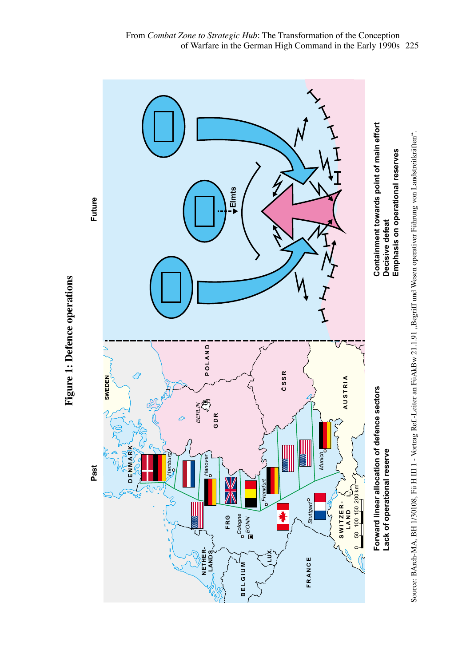



Figure 1: Defence operations **Figure 1: Defence operations Defence operations**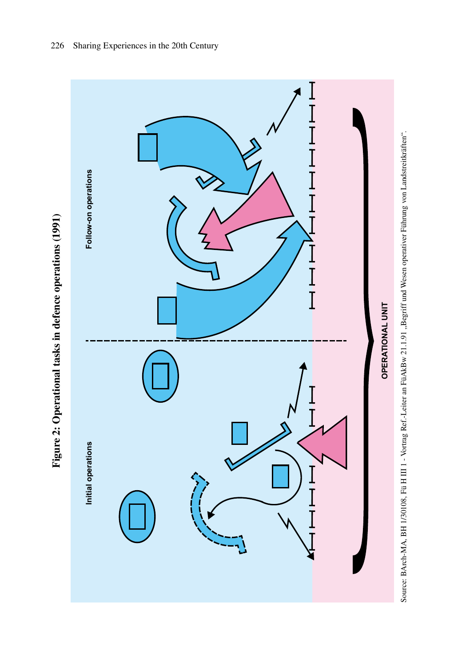

Figure 2: Operational tasks in defence operations (1991) **Figure 2: Operational tasks in defence operations (1991)**

Source: BArch-MA, BH 1/30108, Fü H III 1 - Vortrag Ref: -Leiter an FüAkBw 21.1.91 "Begriff und Wesen operativer Führung von Landstreitkräften". Source: BArch-MA, BH 1/30108, Fü H III 1 - Vortrag Ref.-Leiter an FüAkBw 21.1.91 "Begriff und Wesen operativer Führung von Landstreitkräften".Source: BArch-MA, BH 1/30108, Fü H III 1 - Vortrag Ref.-Leiter an FüAkBw 21.1.91 "Begriff und Wesen operativer Führung von Landstreitkräften".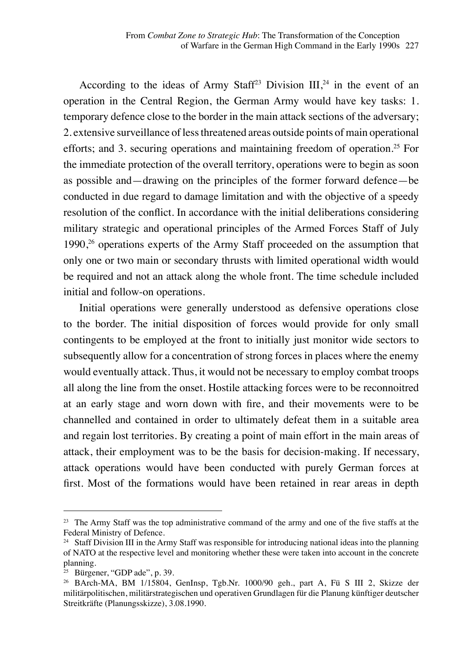According to the ideas of Army Staff<sup>23</sup> Division  $III^{24}$  in the event of an operation in the Central Region, the German Army would have key tasks: 1. temporary defence close to the border in the main attack sections of the adversary; 2. extensive surveillance of less threatened areas outside points of main operational efforts; and 3. securing operations and maintaining freedom of operation.<sup>25</sup> For the immediate protection of the overall territory, operations were to begin as soon as possible and—drawing on the principles of the former forward defence—be conducted in due regard to damage limitation and with the objective of a speedy resolution of the conflict. In accordance with the initial deliberations considering military strategic and operational principles of the Armed Forces Staff of July 1990,<sup>26</sup> operations experts of the Army Staff proceeded on the assumption that only one or two main or secondary thrusts with limited operational width would be required and not an attack along the whole front. The time schedule included initial and follow-on operations.

Initial operations were generally understood as defensive operations close to the border. The initial disposition of forces would provide for only small contingents to be employed at the front to initially just monitor wide sectors to subsequently allow for a concentration of strong forces in places where the enemy would eventually attack. Thus, it would not be necessary to employ combat troops all along the line from the onset. Hostile attacking forces were to be reconnoitred at an early stage and worn down with fire, and their movements were to be channelled and contained in order to ultimately defeat them in a suitable area and regain lost territories. By creating a point of main effort in the main areas of attack, their employment was to be the basis for decision-making. If necessary, attack operations would have been conducted with purely German forces at first. Most of the formations would have been retained in rear areas in depth

<sup>&</sup>lt;sup>23</sup> The Army Staff was the top administrative command of the army and one of the five staffs at the Federal Ministry of Defence.

<sup>&</sup>lt;sup>24</sup> Staff Division III in the Army Staff was responsible for introducing national ideas into the planning of NATO at the respective level and monitoring whether these were taken into account in the concrete planning.

 $25$  Bürgener, "GDP ade", p. 39.

<sup>26</sup> BArch-MA, BM 1/15804, GenInsp, Tgb.Nr. 1000/90 geh., part A, Fü S III 2, Skizze der militärpolitischen, militärstrategischen und operativen Grundlagen für die Planung künftiger deutscher Streitkräfte (Planungsskizze), 3.08.1990.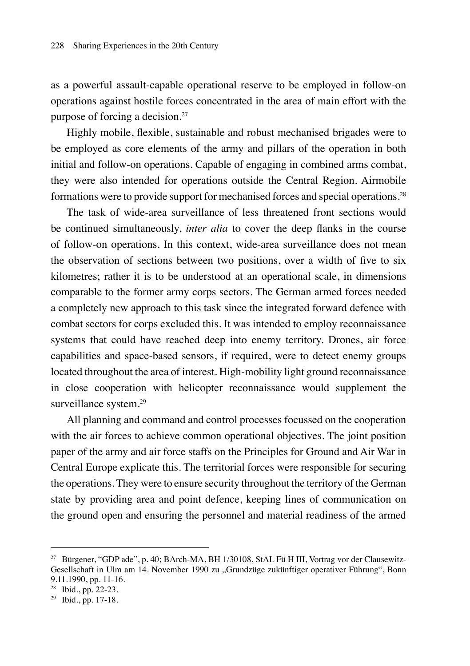as a powerful assault-capable operational reserve to be employed in follow-on operations against hostile forces concentrated in the area of main effort with the purpose of forcing a decision.27

Highly mobile, flexible, sustainable and robust mechanised brigades were to be employed as core elements of the army and pillars of the operation in both initial and follow-on operations. Capable of engaging in combined arms combat, they were also intended for operations outside the Central Region. Airmobile formations were to provide support for mechanised forces and special operations.<sup>28</sup>

The task of wide-area surveillance of less threatened front sections would be continued simultaneously, *inter alia* to cover the deep flanks in the course of follow-on operations. In this context, wide-area surveillance does not mean the observation of sections between two positions, over a width of five to six kilometres; rather it is to be understood at an operational scale, in dimensions comparable to the former army corps sectors. The German armed forces needed a completely new approach to this task since the integrated forward defence with combat sectors for corps excluded this. It was intended to employ reconnaissance systems that could have reached deep into enemy territory. Drones, air force capabilities and space-based sensors, if required, were to detect enemy groups located throughout the area of interest. High-mobility light ground reconnaissance in close cooperation with helicopter reconnaissance would supplement the surveillance system.<sup>29</sup>

All planning and command and control processes focussed on the cooperation with the air forces to achieve common operational objectives. The joint position paper of the army and air force staffs on the Principles for Ground and Air War in Central Europe explicate this. The territorial forces were responsible for securing the operations. They were to ensure security throughout the territory of the German state by providing area and point defence, keeping lines of communication on the ground open and ensuring the personnel and material readiness of the armed

<sup>&</sup>lt;sup>27</sup> Bürgener, "GDP ade", p. 40; BArch-MA, BH 1/30108, StAL Fü H III, Vortrag vor der Clausewitz-Gesellschaft in Ulm am 14. November 1990 zu "Grundzüge zukünftiger operativer Führung", Bonn 9.11.1990, pp. 11-16.

<sup>28</sup> Ibid., pp. 22-23.

 $29$  Ibid., pp. 17-18.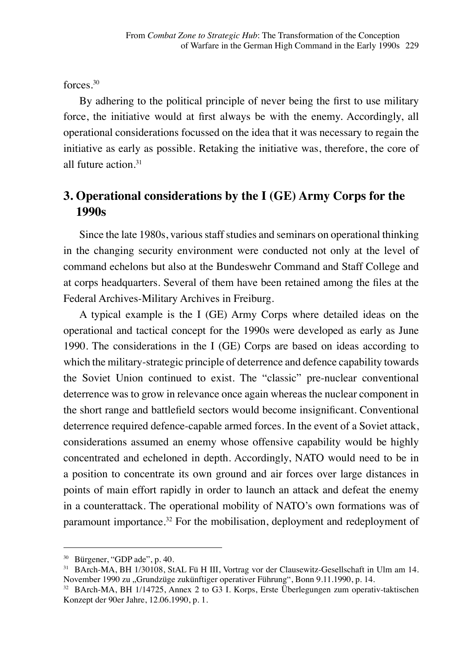forces<sup>30</sup>

By adhering to the political principle of never being the first to use military force, the initiative would at first always be with the enemy. Accordingly, all operational considerations focussed on the idea that it was necessary to regain the initiative as early as possible. Retaking the initiative was, therefore, the core of all future action 31

## **3. Operational considerations by the I (GE) Army Corps for the 1990s**

Since the late 1980s, various staff studies and seminars on operational thinking in the changing security environment were conducted not only at the level of command echelons but also at the Bundeswehr Command and Staff College and at corps headquarters. Several of them have been retained among the files at the Federal Archives-Military Archives in Freiburg.

A typical example is the I (GE) Army Corps where detailed ideas on the operational and tactical concept for the 1990s were developed as early as June 1990. The considerations in the I (GE) Corps are based on ideas according to which the military-strategic principle of deterrence and defence capability towards the Soviet Union continued to exist. The "classic" pre-nuclear conventional deterrence was to grow in relevance once again whereas the nuclear component in the short range and battlefield sectors would become insignificant. Conventional deterrence required defence-capable armed forces. In the event of a Soviet attack, considerations assumed an enemy whose offensive capability would be highly concentrated and echeloned in depth. Accordingly, NATO would need to be in a position to concentrate its own ground and air forces over large distances in points of main effort rapidly in order to launch an attack and defeat the enemy in a counterattack. The operational mobility of NATO's own formations was of paramount importance.32 For the mobilisation, deployment and redeployment of

<sup>30</sup> Bürgener, "GDP ade", p. 40.

<sup>31</sup> BArch-MA, BH 1/30108, StAL Fü H III, Vortrag vor der Clausewitz-Gesellschaft in Ulm am 14. November 1990 zu "Grundzüge zukünftiger operativer Führung", Bonn 9.11.1990, p. 14.

<sup>32</sup> BArch-MA, BH 1/14725, Annex 2 to G3 I. Korps, Erste Überlegungen zum operativ-taktischen Konzept der 90er Jahre, 12.06.1990, p. 1.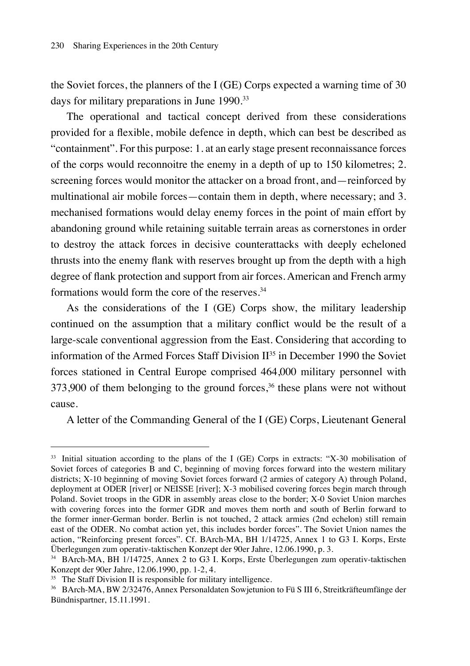the Soviet forces, the planners of the I (GE) Corps expected a warning time of 30 days for military preparations in June 1990.33

The operational and tactical concept derived from these considerations provided for a flexible, mobile defence in depth, which can best be described as "containment". For this purpose: 1. at an early stage present reconnaissance forces of the corps would reconnoitre the enemy in a depth of up to 150 kilometres; 2. screening forces would monitor the attacker on a broad front, and—reinforced by multinational air mobile forces—contain them in depth, where necessary; and 3. mechanised formations would delay enemy forces in the point of main effort by abandoning ground while retaining suitable terrain areas as cornerstones in order to destroy the attack forces in decisive counterattacks with deeply echeloned thrusts into the enemy flank with reserves brought up from the depth with a high degree of flank protection and support from air forces. American and French army formations would form the core of the reserves.<sup>34</sup>

As the considerations of the I (GE) Corps show, the military leadership continued on the assumption that a military conflict would be the result of a large-scale conventional aggression from the East. Considering that according to information of the Armed Forces Staff Division  $II^{35}$  in December 1990 the Soviet forces stationed in Central Europe comprised 464,000 military personnel with  $373,900$  of them belonging to the ground forces,<sup>36</sup> these plans were not without cause.

A letter of the Commanding General of the I (GE) Corps, Lieutenant General

<sup>33</sup> Initial situation according to the plans of the I (GE) Corps in extracts: "X-30 mobilisation of Soviet forces of categories B and C, beginning of moving forces forward into the western military districts; X-10 beginning of moving Soviet forces forward (2 armies of category A) through Poland, deployment at ODER [river] or NEISSE [river]; X-3 mobilised covering forces begin march through Poland. Soviet troops in the GDR in assembly areas close to the border; X-0 Soviet Union marches with covering forces into the former GDR and moves them north and south of Berlin forward to the former inner-German border. Berlin is not touched, 2 attack armies (2nd echelon) still remain east of the ODER. No combat action yet, this includes border forces". The Soviet Union names the action, "Reinforcing present forces". Cf. BArch-MA, BH 1/14725, Annex 1 to G3 I. Korps, Erste Überlegungen zum operativ-taktischen Konzept der 90er Jahre, 12.06.1990, p. 3.

<sup>34</sup> BArch-MA, BH 1/14725, Annex 2 to G3 I. Korps, Erste Überlegungen zum operativ-taktischen Konzept der 90er Jahre, 12.06.1990, pp. 1-2, 4.

<sup>&</sup>lt;sup>35</sup> The Staff Division II is responsible for military intelligence.

<sup>36</sup> BArch-MA, BW 2/32476, Annex Personaldaten Sowjetunion to Fü S III 6, Streitkräfteumfänge der Bündnispartner, 15.11.1991.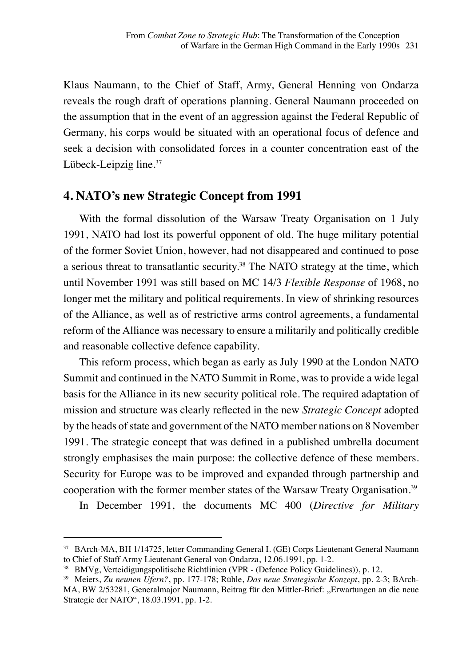Klaus Naumann, to the Chief of Staff, Army, General Henning von Ondarza reveals the rough draft of operations planning. General Naumann proceeded on the assumption that in the event of an aggression against the Federal Republic of Germany, his corps would be situated with an operational focus of defence and seek a decision with consolidated forces in a counter concentration east of the Lübeck-Leipzig line.<sup>37</sup>

#### **4. NATO's new Strategic Concept from 1991**

With the formal dissolution of the Warsaw Treaty Organisation on 1 July 1991, NATO had lost its powerful opponent of old. The huge military potential of the former Soviet Union, however, had not disappeared and continued to pose a serious threat to transatlantic security.38 The NATO strategy at the time, which until November 1991 was still based on MC 14/3 *Flexible Response* of 1968, no longer met the military and political requirements. In view of shrinking resources of the Alliance, as well as of restrictive arms control agreements, a fundamental reform of the Alliance was necessary to ensure a militarily and politically credible and reasonable collective defence capability.

This reform process, which began as early as July 1990 at the London NATO Summit and continued in the NATO Summit in Rome, was to provide a wide legal basis for the Alliance in its new security political role. The required adaptation of mission and structure was clearly reflected in the new *Strategic Concept* adopted by the heads of state and government of the NATO member nations on 8 November 1991. The strategic concept that was defined in a published umbrella document strongly emphasises the main purpose: the collective defence of these members. Security for Europe was to be improved and expanded through partnership and cooperation with the former member states of the Warsaw Treaty Organisation.<sup>39</sup>

In December 1991, the documents MC 400 (*Directive for Military* 

<sup>37</sup> BArch-MA, BH 1/14725, letter Commanding General I. (GE) Corps Lieutenant General Naumann to Chief of Staff Army Lieutenant General von Ondarza, 12.06.1991, pp. 1-2.

<sup>38</sup> BMVg, Verteidigungspolitische Richtlinien (VPR - (Defence Policy Guidelines)), p. 12.

<sup>39</sup> Meiers, *Zu neunen Ufern?*, pp. 177-178; Rühle, *Das neue Strategische Konzept*, pp. 2-3; BArch-MA, BW 2/53281, Generalmajor Naumann, Beitrag für den Mittler-Brief: "Erwartungen an die neue Strategie der NATO", 18.03.1991, pp. 1-2.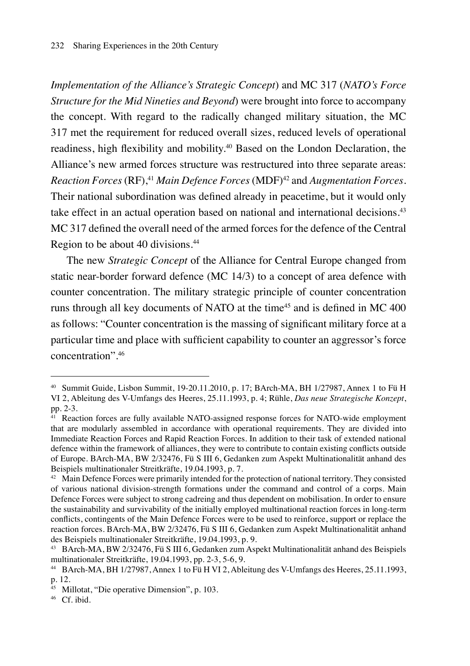*Implementation of the Alliance's Strategic Concept*) and MC 317 (*NATO's Force Structure for the Mid Nineties and Beyond*) were brought into force to accompany the concept. With regard to the radically changed military situation, the MC 317 met the requirement for reduced overall sizes, reduced levels of operational readiness, high flexibility and mobility.40 Based on the London Declaration, the Alliance's new armed forces structure was restructured into three separate areas: *Reaction Forces* (RF),41 *Main Defence Forces* (MDF)42 and *Augmentation Forces*. Their national subordination was defined already in peacetime, but it would only take effect in an actual operation based on national and international decisions.<sup>43</sup> MC 317 defined the overall need of the armed forces for the defence of the Central Region to be about 40 divisions.<sup>44</sup>

The new *Strategic Concept* of the Alliance for Central Europe changed from static near-border forward defence (MC 14/3) to a concept of area defence with counter concentration. The military strategic principle of counter concentration runs through all key documents of NATO at the time<sup>45</sup> and is defined in MC 400 as follows: "Counter concentration is the massing of significant military force at a particular time and place with sufficient capability to counter an aggressor's force concentration".<sup>46</sup>

<sup>40</sup> Summit Guide, Lisbon Summit, 19-20.11.2010, p. 17; BArch-MA, BH 1/27987, Annex 1 to Fü H VI 2, Ableitung des V-Umfangs des Heeres, 25.11.1993, p. 4; Rühle, *Das neue Strategische Konzept*, pp. 2-3.

<sup>&</sup>lt;sup>41</sup> Reaction forces are fully available NATO-assigned response forces for NATO-wide employment that are modularly assembled in accordance with operational requirements. They are divided into Immediate Reaction Forces and Rapid Reaction Forces. In addition to their task of extended national defence within the framework of alliances, they were to contribute to contain existing conflicts outside of Europe. BArch-MA, BW 2/32476, Fü S III 6, Gedanken zum Aspekt Multinationalität anhand des Beispiels multinationaler Streitkräfte, 19.04.1993, p. 7.

<sup>&</sup>lt;sup>42</sup> Main Defence Forces were primarily intended for the protection of national territory. They consisted of various national division-strength formations under the command and control of a corps. Main Defence Forces were subject to strong cadreing and thus dependent on mobilisation. In order to ensure the sustainability and survivability of the initially employed multinational reaction forces in long-term conflicts, contingents of the Main Defence Forces were to be used to reinforce, support or replace the reaction forces. BArch-MA, BW 2/32476, Fü S III 6, Gedanken zum Aspekt Multinationalität anhand des Beispiels multinationaler Streitkräfte, 19.04.1993, p. 9.

<sup>43</sup> BArch-MA, BW 2/32476, Fü S III 6, Gedanken zum Aspekt Multinationalität anhand des Beispiels multinationaler Streitkräfte, 19.04.1993, pp. 2-3, 5-6, 9.

<sup>44</sup> BArch-MA, BH 1/27987, Annex 1 to Fü H VI 2, Ableitung des V-Umfangs des Heeres, 25.11.1993, p. 12.

<sup>&</sup>lt;sup>45</sup> Millotat, "Die operative Dimension", p. 103.

<sup>46</sup> Cf. ibid.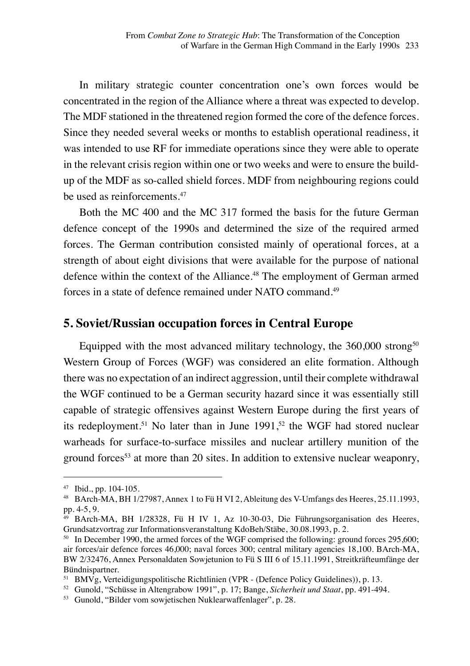In military strategic counter concentration one's own forces would be concentrated in the region of the Alliance where a threat was expected to develop. The MDF stationed in the threatened region formed the core of the defence forces. Since they needed several weeks or months to establish operational readiness, it was intended to use RF for immediate operations since they were able to operate in the relevant crisis region within one or two weeks and were to ensure the buildup of the MDF as so-called shield forces. MDF from neighbouring regions could be used as reinforcements.<sup>47</sup>

Both the MC 400 and the MC 317 formed the basis for the future German defence concept of the 1990s and determined the size of the required armed forces. The German contribution consisted mainly of operational forces, at a strength of about eight divisions that were available for the purpose of national defence within the context of the Alliance.<sup>48</sup> The employment of German armed forces in a state of defence remained under NATO command.<sup>49</sup>

#### **5. Soviet/Russian occupation forces in Central Europe**

Equipped with the most advanced military technology, the  $360,000$  strong<sup>50</sup> Western Group of Forces (WGF) was considered an elite formation. Although there was no expectation of an indirect aggression, until their complete withdrawal the WGF continued to be a German security hazard since it was essentially still capable of strategic offensives against Western Europe during the first years of its redeployment.<sup>51</sup> No later than in June 1991,<sup>52</sup> the WGF had stored nuclear warheads for surface-to-surface missiles and nuclear artillery munition of the ground forces<sup>53</sup> at more than 20 sites. In addition to extensive nuclear weaponry,

<sup>47</sup> Ibid., pp. 104-105.

<sup>48</sup> BArch-MA, BH 1/27987, Annex 1 to Fü H VI 2, Ableitung des V-Umfangs des Heeres, 25.11.1993, pp. 4-5, 9.

<sup>49</sup> BArch-MA, BH 1/28328, Fü H IV 1, Az 10-30-03, Die Führungsorganisation des Heeres, Grundsatzvortrag zur Informationsveranstaltung KdoBeh/Stäbe, 30.08.1993, p. 2.

<sup>&</sup>lt;sup>50</sup> In December 1990, the armed forces of the WGF comprised the following: ground forces 295,600; air forces/air defence forces 46,000; naval forces 300; central military agencies 18,100. BArch-MA, BW 2/32476, Annex Personaldaten Sowjetunion to Fü S III 6 of 15.11.1991, Streitkräfteumfänge der Bündnispartner.

<sup>51</sup> BMVg, Verteidigungspolitische Richtlinien (VPR - (Defence Policy Guidelines)), p. 13.

<sup>52</sup> Gunold, "Schüsse in Altengrabow 1991", p. 17; Bange, *Sicherheit und Staat*, pp. 491-494.

<sup>53</sup> Gunold, "Bilder vom sowjetischen Nuklearwaffenlager", p. 28.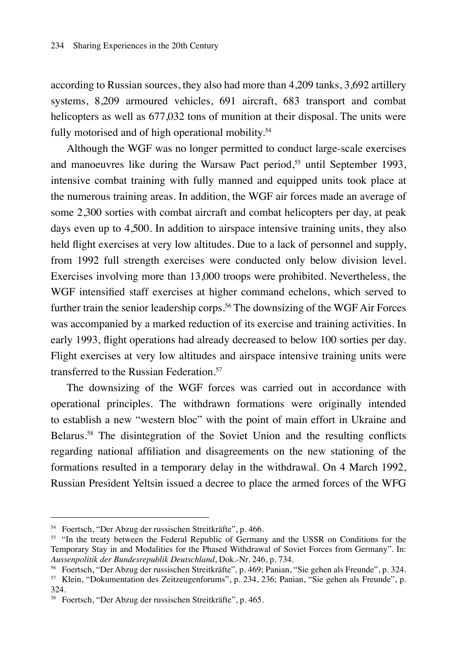according to Russian sources, they also had more than 4,209 tanks, 3,692 artillery systems, 8,209 armoured vehicles, 691 aircraft, 683 transport and combat helicopters as well as  $677,032$  tons of munition at their disposal. The units were fully motorised and of high operational mobility.<sup>54</sup>

Although the WGF was no longer permitted to conduct large-scale exercises and manoeuvres like during the Warsaw Pact period,<sup>55</sup> until September 1993, intensive combat training with fully manned and equipped units took place at the numerous training areas. In addition, the WGF air forces made an average of some 2,300 sorties with combat aircraft and combat helicopters per day, at peak days even up to 4,500. In addition to airspace intensive training units, they also held flight exercises at very low altitudes. Due to a lack of personnel and supply, from 1992 full strength exercises were conducted only below division level. Exercises involving more than 13,000 troops were prohibited. Nevertheless, the WGF intensified staff exercises at higher command echelons, which served to further train the senior leadership corps.<sup>56</sup> The downsizing of the WGF Air Forces was accompanied by a marked reduction of its exercise and training activities. In early 1993, flight operations had already decreased to below 100 sorties per day. Flight exercises at very low altitudes and airspace intensive training units were transferred to the Russian Federation.<sup>57</sup>

The downsizing of the WGF forces was carried out in accordance with operational principles. The withdrawn formations were originally intended to establish a new "western bloc" with the point of main effort in Ukraine and Belarus.58 The disintegration of the Soviet Union and the resulting conflicts regarding national affiliation and disagreements on the new stationing of the formations resulted in a temporary delay in the withdrawal. On 4 March 1992, Russian President Yeltsin issued a decree to place the armed forces of the WFG

<sup>54</sup> Foertsch, "Der Abzug der russischen Streitkräfte", p. 466.

<sup>&</sup>lt;sup>55</sup> "In the treaty between the Federal Republic of Germany and the USSR on Conditions for the Temporary Stay in and Modalities for the Phased Withdrawal of Soviet Forces from Germany". In: *Aussenpolitik der Bundesrepublik Deutschland*, Dok.-Nr. 246, p. 734.

<sup>56</sup> Foertsch, "Der Abzug der russischen Streitkräfte"*,* p. 469; Panian, "Sie gehen als Freunde", p. 324.

<sup>57</sup> Klein, "Dokumentation des Zeitzeugenforums", p. 234, 236; Panian, "Sie gehen als Freunde", p. 324.

<sup>58</sup> Foertsch, "Der Abzug der russischen Streitkräfte", p. 465.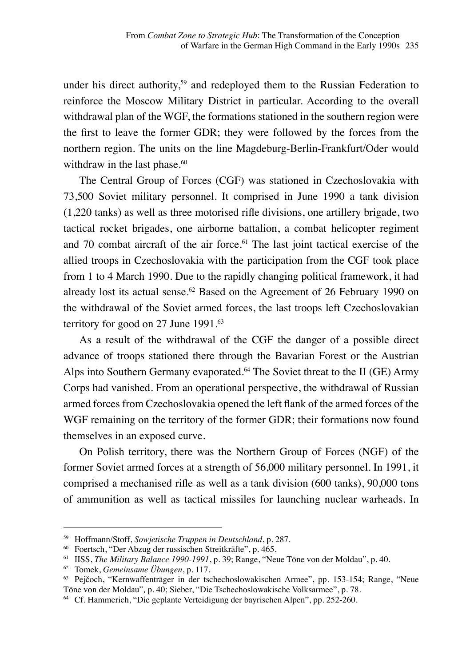under his direct authority,<sup>59</sup> and redeployed them to the Russian Federation to reinforce the Moscow Military District in particular. According to the overall withdrawal plan of the WGF, the formations stationed in the southern region were the first to leave the former GDR; they were followed by the forces from the northern region. The units on the line Magdeburg-Berlin-Frankfurt/Oder would withdraw in the last phase.<sup>60</sup>

The Central Group of Forces (CGF) was stationed in Czechoslovakia with 73,500 Soviet military personnel. It comprised in June 1990 a tank division (1,220 tanks) as well as three motorised rifle divisions, one artillery brigade, two tactical rocket brigades, one airborne battalion, a combat helicopter regiment and 70 combat aircraft of the air force.<sup>61</sup> The last joint tactical exercise of the allied troops in Czechoslovakia with the participation from the CGF took place from 1 to 4 March 1990. Due to the rapidly changing political framework, it had already lost its actual sense.<sup>62</sup> Based on the Agreement of 26 February 1990 on the withdrawal of the Soviet armed forces, the last troops left Czechoslovakian territory for good on 27 June 1991.<sup>63</sup>

As a result of the withdrawal of the CGF the danger of a possible direct advance of troops stationed there through the Bavarian Forest or the Austrian Alps into Southern Germany evaporated.<sup>64</sup> The Soviet threat to the II (GE) Army Corps had vanished. From an operational perspective, the withdrawal of Russian armed forces from Czechoslovakia opened the left flank of the armed forces of the WGF remaining on the territory of the former GDR; their formations now found themselves in an exposed curve.

On Polish territory, there was the Northern Group of Forces (NGF) of the former Soviet armed forces at a strength of 56,000 military personnel. In 1991, it comprised a mechanised rifle as well as a tank division (600 tanks), 90,000 tons of ammunition as well as tactical missiles for launching nuclear warheads. In

<sup>59</sup> Hoffmann/Stoff, *Sowjetische Truppen in Deutschland*, p. 287.

 $60$  Foertsch, "Der Abzug der russischen Streitkräfte", p.  $465$ .

<sup>61</sup> IISS, *The Military Balance 1990-1991*, p. 39; Range, "Neue Töne von der Moldau", p. 40.

<sup>62</sup> Tomek, *Gemeinsame Übungen*, p. 117.

<sup>63</sup> Pejčoch, "Kernwaffenträger in der tschechoslowakischen Armee", pp. 153-154; Range, "Neue Töne von der Moldau"*,* p. 40; Sieber, "Die Tschechoslowakische Volksarmee", p. 78.

<sup>64</sup> Cf. Hammerich, "Die geplante Verteidigung der bayrischen Alpen", pp. 252-260.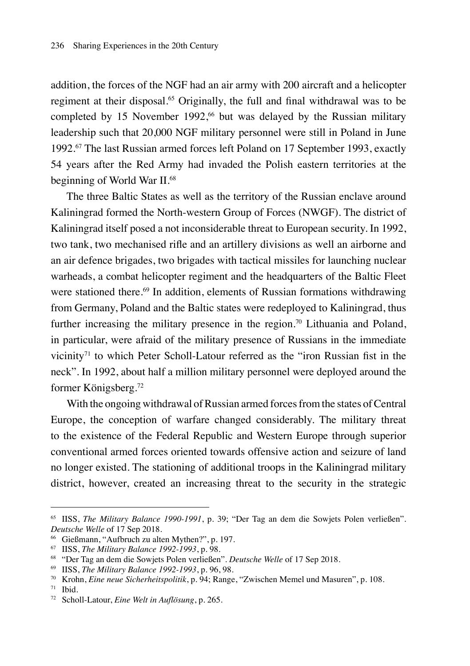addition, the forces of the NGF had an air army with 200 aircraft and a helicopter regiment at their disposal.<sup>65</sup> Originally, the full and final withdrawal was to be completed by 15 November 1992, $66$  but was delayed by the Russian military leadership such that 20,000 NGF military personnel were still in Poland in June 1992.67 The last Russian armed forces left Poland on 17 September 1993, exactly 54 years after the Red Army had invaded the Polish eastern territories at the beginning of World War II.<sup>68</sup>

The three Baltic States as well as the territory of the Russian enclave around Kaliningrad formed the North-western Group of Forces (NWGF). The district of Kaliningrad itself posed a not inconsiderable threat to European security. In 1992, two tank, two mechanised rifle and an artillery divisions as well an airborne and an air defence brigades, two brigades with tactical missiles for launching nuclear warheads, a combat helicopter regiment and the headquarters of the Baltic Fleet were stationed there.<sup>69</sup> In addition, elements of Russian formations withdrawing from Germany, Poland and the Baltic states were redeployed to Kaliningrad, thus further increasing the military presence in the region.<sup>70</sup> Lithuania and Poland, in particular, were afraid of the military presence of Russians in the immediate vicinity<sup>71</sup> to which Peter Scholl-Latour referred as the "iron Russian fist in the neck". In 1992, about half a million military personnel were deployed around the former Königsberg.<sup>72</sup>

With the ongoing withdrawal of Russian armed forces from the states of Central Europe, the conception of warfare changed considerably. The military threat to the existence of the Federal Republic and Western Europe through superior conventional armed forces oriented towards offensive action and seizure of land no longer existed. The stationing of additional troops in the Kaliningrad military district, however, created an increasing threat to the security in the strategic

<sup>65</sup> IISS, *The Military Balance 1990-1991*, p. 39; "Der Tag an dem die Sowjets Polen verließen"*. Deutsche Welle* of 17 Sep 2018.

<sup>66</sup> Gießmann, "Aufbruch zu alten Mythen?", p. 197.

<sup>67</sup> IISS, *The Military Balance 1992-1993*, p. 98.

<sup>68</sup> "Der Tag an dem die Sowjets Polen verließen". *Deutsche Welle* of 17 Sep 2018.

<sup>69</sup> IISS, *The Military Balance 1992-1993*, p. 96, 98.

<sup>70</sup> Krohn, *Eine neue Sicherheitspolitik*, p. 94; Range, "Zwischen Memel und Masuren", p. 108.

 $71$  Ibid.

<sup>72</sup> Scholl-Latour, *Eine Welt in Auflösung*, p. 265.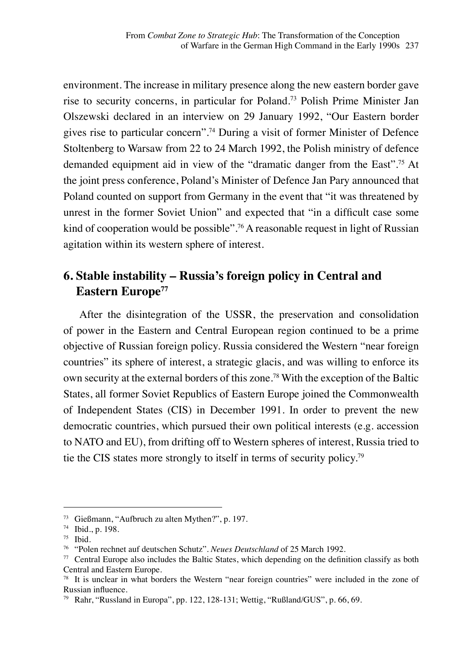environment. The increase in military presence along the new eastern border gave rise to security concerns, in particular for Poland.73 Polish Prime Minister Jan Olszewski declared in an interview on 29 January 1992, "Our Eastern border gives rise to particular concern".<sup>74</sup> During a visit of former Minister of Defence Stoltenberg to Warsaw from 22 to 24 March 1992, the Polish ministry of defence demanded equipment aid in view of the "dramatic danger from the East".75 At the joint press conference, Poland's Minister of Defence Jan Pary announced that Poland counted on support from Germany in the event that "it was threatened by unrest in the former Soviet Union" and expected that "in a difficult case some kind of cooperation would be possible".<sup>76</sup> A reasonable request in light of Russian agitation within its western sphere of interest.

## **6. Stable instability – Russia's foreign policy in Central and Eastern Europe77**

After the disintegration of the USSR, the preservation and consolidation of power in the Eastern and Central European region continued to be a prime objective of Russian foreign policy. Russia considered the Western "near foreign countries" its sphere of interest, a strategic glacis, and was willing to enforce its own security at the external borders of this zone.<sup>78</sup> With the exception of the Baltic States, all former Soviet Republics of Eastern Europe joined the Commonwealth of Independent States (CIS) in December 1991. In order to prevent the new democratic countries, which pursued their own political interests (e.g. accession to NATO and EU), from drifting off to Western spheres of interest, Russia tried to tie the CIS states more strongly to itself in terms of security policy.79

<sup>73</sup> Gießmann, "Aufbruch zu alten Mythen?", p. 197.

<sup>74</sup> Ibid., p. 198.

 $75$  Ibid.

<sup>76</sup> "Polen rechnet auf deutschen Schutz"*. Neues Deutschland* of 25 March 1992.

 $77$  Central Europe also includes the Baltic States, which depending on the definition classify as both Central and Eastern Europe.

<sup>78</sup> It is unclear in what borders the Western "near foreign countries" were included in the zone of Russian influence.

<sup>79</sup> Rahr, "Russland in Europa", pp. 122, 128-131; Wettig, "Rußland/GUS", p. 66, 69.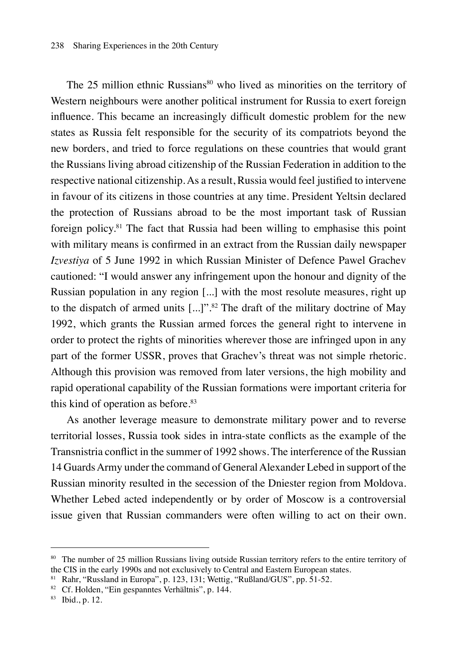The 25 million ethnic Russians<sup>80</sup> who lived as minorities on the territory of Western neighbours were another political instrument for Russia to exert foreign influence. This became an increasingly difficult domestic problem for the new states as Russia felt responsible for the security of its compatriots beyond the new borders, and tried to force regulations on these countries that would grant the Russians living abroad citizenship of the Russian Federation in addition to the respective national citizenship. As a result, Russia would feel justified to intervene in favour of its citizens in those countries at any time. President Yeltsin declared the protection of Russians abroad to be the most important task of Russian foreign policy.81 The fact that Russia had been willing to emphasise this point with military means is confirmed in an extract from the Russian daily newspaper *Izvestiya* of 5 June 1992 in which Russian Minister of Defence Pawel Grachev cautioned: "I would answer any infringement upon the honour and dignity of the Russian population in any region [...] with the most resolute measures, right up to the dispatch of armed units [...]".82 The draft of the military doctrine of May 1992, which grants the Russian armed forces the general right to intervene in order to protect the rights of minorities wherever those are infringed upon in any part of the former USSR, proves that Grachev's threat was not simple rhetoric. Although this provision was removed from later versions, the high mobility and rapid operational capability of the Russian formations were important criteria for this kind of operation as before.<sup>83</sup>

As another leverage measure to demonstrate military power and to reverse territorial losses, Russia took sides in intra-state conflicts as the example of the Transnistria conflict in the summer of 1992 shows. The interference of the Russian 14 Guards Army under the command of General Alexander Lebed in support of the Russian minority resulted in the secession of the Dniester region from Moldova. Whether Lebed acted independently or by order of Moscow is a controversial issue given that Russian commanders were often willing to act on their own.

<sup>80</sup> The number of 25 million Russians living outside Russian territory refers to the entire territory of the CIS in the early 1990s and not exclusively to Central and Eastern European states.

<sup>81</sup> Rahr, "Russland in Europa", p. 123, 131; Wettig, "Rußland/GUS", pp. 51-52.

<sup>82</sup> Cf. Holden, "Ein gespanntes Verhältnis", p. 144.

<sup>83</sup> Ibid., p. 12.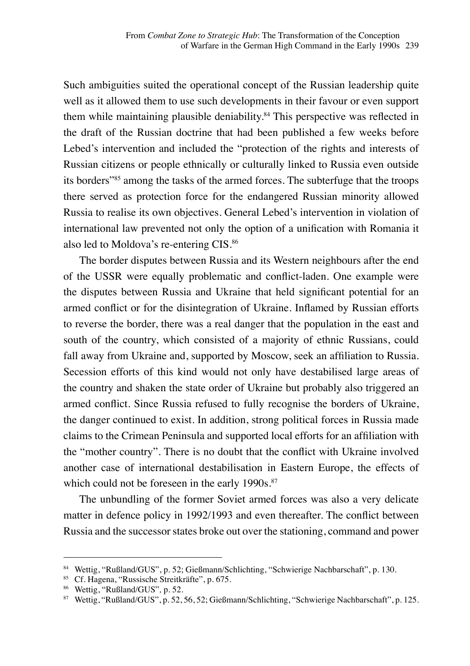Such ambiguities suited the operational concept of the Russian leadership quite well as it allowed them to use such developments in their favour or even support them while maintaining plausible deniability.<sup>84</sup> This perspective was reflected in the draft of the Russian doctrine that had been published a few weeks before Lebed's intervention and included the "protection of the rights and interests of Russian citizens or people ethnically or culturally linked to Russia even outside its borders"<sup>85</sup> among the tasks of the armed forces. The subterfuge that the troops there served as protection force for the endangered Russian minority allowed Russia to realise its own objectives. General Lebed's intervention in violation of international law prevented not only the option of a unification with Romania it also led to Moldova's re-entering CIS.<sup>86</sup>

The border disputes between Russia and its Western neighbours after the end of the USSR were equally problematic and conflict-laden. One example were the disputes between Russia and Ukraine that held significant potential for an armed conflict or for the disintegration of Ukraine. Inflamed by Russian efforts to reverse the border, there was a real danger that the population in the east and south of the country, which consisted of a majority of ethnic Russians, could fall away from Ukraine and, supported by Moscow, seek an affiliation to Russia. Secession efforts of this kind would not only have destabilised large areas of the country and shaken the state order of Ukraine but probably also triggered an armed conflict. Since Russia refused to fully recognise the borders of Ukraine, the danger continued to exist. In addition, strong political forces in Russia made claims to the Crimean Peninsula and supported local efforts for an affiliation with the "mother country". There is no doubt that the conflict with Ukraine involved another case of international destabilisation in Eastern Europe, the effects of which could not be foreseen in the early 1990s.<sup>87</sup>

The unbundling of the former Soviet armed forces was also a very delicate matter in defence policy in 1992/1993 and even thereafter. The conflict between Russia and the successor states broke out over the stationing, command and power

<sup>84</sup> Wettig, "Rußland/GUS", p. 52; Gießmann/Schlichting, "Schwierige Nachbarschaft", p. 130.

<sup>85</sup> Cf. Hagena, "Russische Streitkräfte", p. 675.

<sup>86</sup> Wettig, "Rußland/GUS"*,* p. 52.

<sup>87</sup> Wettig, "Rußland/GUS", p. 52, 56, 52; Gießmann/Schlichting, "Schwierige Nachbarschaft", p. 125.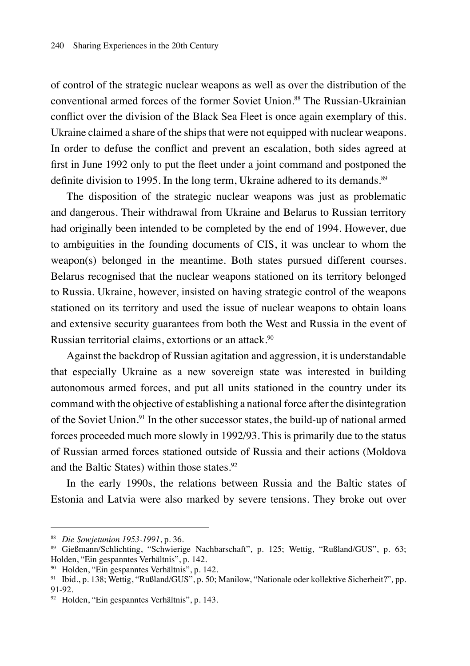of control of the strategic nuclear weapons as well as over the distribution of the conventional armed forces of the former Soviet Union.<sup>88</sup> The Russian-Ukrainian conflict over the division of the Black Sea Fleet is once again exemplary of this. Ukraine claimed a share of the ships that were not equipped with nuclear weapons. In order to defuse the conflict and prevent an escalation, both sides agreed at first in June 1992 only to put the fleet under a joint command and postponed the definite division to 1995. In the long term, Ukraine adhered to its demands.<sup>89</sup>

The disposition of the strategic nuclear weapons was just as problematic and dangerous. Their withdrawal from Ukraine and Belarus to Russian territory had originally been intended to be completed by the end of 1994. However, due to ambiguities in the founding documents of CIS, it was unclear to whom the weapon(s) belonged in the meantime. Both states pursued different courses. Belarus recognised that the nuclear weapons stationed on its territory belonged to Russia. Ukraine, however, insisted on having strategic control of the weapons stationed on its territory and used the issue of nuclear weapons to obtain loans and extensive security guarantees from both the West and Russia in the event of Russian territorial claims, extortions or an attack.<sup>90</sup>

Against the backdrop of Russian agitation and aggression, it is understandable that especially Ukraine as a new sovereign state was interested in building autonomous armed forces, and put all units stationed in the country under its command with the objective of establishing a national force after the disintegration of the Soviet Union.<sup>91</sup> In the other successor states, the build-up of national armed forces proceeded much more slowly in 1992/93. This is primarily due to the status of Russian armed forces stationed outside of Russia and their actions (Moldova and the Baltic States) within those states.<sup>92</sup>

In the early 1990s, the relations between Russia and the Baltic states of Estonia and Latvia were also marked by severe tensions. They broke out over

<sup>88</sup> *Die Sowjetunion 1953-1991*, p. 36.

<sup>89</sup> Gießmann/Schlichting, "Schwierige Nachbarschaft", p. 125; Wettig, "Rußland/GUS", p. 63; Holden, "Ein gespanntes Verhältnis", p. 142.

<sup>90</sup> Holden, "Ein gespanntes Verhältnis", p. 142.

<sup>91</sup> Ibid., p. 138; Wettig, "Rußland/GUS", p. 50; Manilow, "Nationale oder kollektive Sicherheit?"*,* pp. 91-92.

<sup>92</sup> Holden, "Ein gespanntes Verhältnis", p. 143.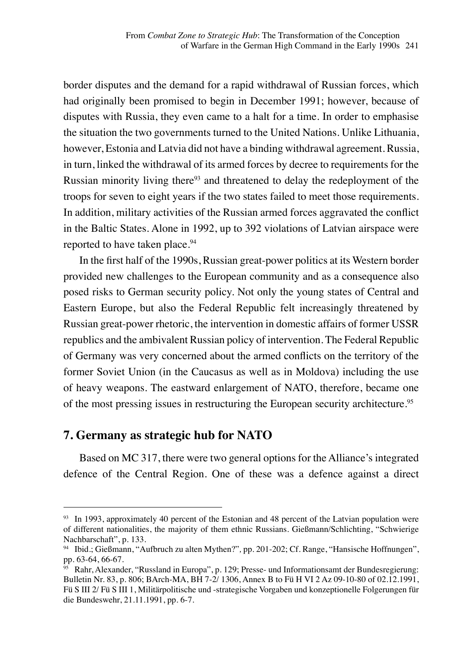border disputes and the demand for a rapid withdrawal of Russian forces, which had originally been promised to begin in December 1991; however, because of disputes with Russia, they even came to a halt for a time. In order to emphasise the situation the two governments turned to the United Nations. Unlike Lithuania, however, Estonia and Latvia did not have a binding withdrawal agreement. Russia, in turn, linked the withdrawal of its armed forces by decree to requirements for the Russian minority living there<sup>93</sup> and threatened to delay the redeployment of the troops for seven to eight years if the two states failed to meet those requirements. In addition, military activities of the Russian armed forces aggravated the conflict in the Baltic States. Alone in 1992, up to 392 violations of Latvian airspace were reported to have taken place.<sup>94</sup>

In the first half of the 1990s, Russian great-power politics at its Western border provided new challenges to the European community and as a consequence also posed risks to German security policy. Not only the young states of Central and Eastern Europe, but also the Federal Republic felt increasingly threatened by Russian great-power rhetoric, the intervention in domestic affairs of former USSR republics and the ambivalent Russian policy of intervention. The Federal Republic of Germany was very concerned about the armed conflicts on the territory of the former Soviet Union (in the Caucasus as well as in Moldova) including the use of heavy weapons. The eastward enlargement of NATO, therefore, became one of the most pressing issues in restructuring the European security architecture.<sup>95</sup>

#### **7. Germany as strategic hub for NATO**

Based on MC 317, there were two general options for the Alliance's integrated defence of the Central Region. One of these was a defence against a direct

<sup>&</sup>lt;sup>93</sup> In 1993, approximately 40 percent of the Estonian and 48 percent of the Latvian population were of different nationalities, the majority of them ethnic Russians. Gießmann/Schlichting, "Schwierige Nachbarschaft", p. 133.

<sup>94</sup> Ibid.; Gießmann, "Aufbruch zu alten Mythen?"*,* pp. 201-202; Cf. Range, "Hansische Hoffnungen", pp. 63-64, 66-67.

 $^{95}$  Rahr, Alexander, "Russland in Europa", p. 129; Presse- und Informationsamt der Bundesregierung: Bulletin Nr. 83, p. 806; BArch-MA, BH 7-2/ 1306, Annex B to Fü H VI 2 Az 09-10-80 of 02.12.1991, Fü S III 2/ Fü S III 1, Militärpolitische und -strategische Vorgaben und konzeptionelle Folgerungen für die Bundeswehr, 21.11.1991, pp. 6-7.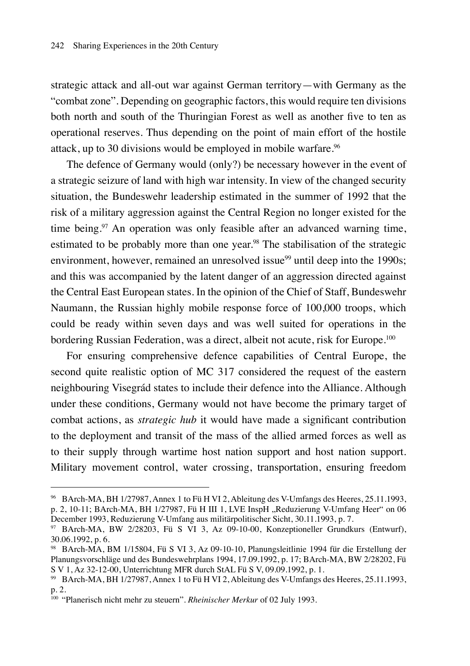strategic attack and all-out war against German territory—with Germany as the "combat zone". Depending on geographic factors, this would require ten divisions both north and south of the Thuringian Forest as well as another five to ten as operational reserves. Thus depending on the point of main effort of the hostile attack, up to 30 divisions would be employed in mobile warfare.<sup>96</sup>

The defence of Germany would (only?) be necessary however in the event of a strategic seizure of land with high war intensity. In view of the changed security situation, the Bundeswehr leadership estimated in the summer of 1992 that the risk of a military aggression against the Central Region no longer existed for the time being.<sup>97</sup> An operation was only feasible after an advanced warning time, estimated to be probably more than one year.<sup>98</sup> The stabilisation of the strategic environment, however, remained an unresolved issue<sup>99</sup> until deep into the 1990s; and this was accompanied by the latent danger of an aggression directed against the Central East European states. In the opinion of the Chief of Staff, Bundeswehr Naumann, the Russian highly mobile response force of 100,000 troops, which could be ready within seven days and was well suited for operations in the bordering Russian Federation, was a direct, albeit not acute, risk for Europe.<sup>100</sup>

For ensuring comprehensive defence capabilities of Central Europe, the second quite realistic option of MC 317 considered the request of the eastern neighbouring Visegrád states to include their defence into the Alliance. Although under these conditions, Germany would not have become the primary target of combat actions, as *strategic hub* it would have made a significant contribution to the deployment and transit of the mass of the allied armed forces as well as to their supply through wartime host nation support and host nation support. Military movement control, water crossing, transportation, ensuring freedom

<sup>96</sup> BArch-MA, BH 1/27987, Annex 1 to Fü H VI 2, Ableitung des V-Umfangs des Heeres, 25.11.1993, p. 2, 10-11; BArch-MA, BH 1/27987, Fü H III 1, LVE InspH "Reduzierung V-Umfang Heer" on 06 December 1993, Reduzierung V-Umfang aus militärpolitischer Sicht, 30.11.1993, p. 7.

 $97$  BArch-MA, BW 2/28203, Fü S VI 3, Az 09-10-00, Konzeptioneller Grundkurs (Entwurf), 30.06.1992, p. 6.

<sup>98</sup> BArch-MA, BM 1/15804, Fü S VI 3, Az 09-10-10, Planungsleitlinie 1994 für die Erstellung der Planungsvorschläge und des Bundeswehrplans 1994, 17.09.1992, p. 17; BArch-MA, BW 2/28202, Fü S V 1, Az 32-12-00, Unterrichtung MFR durch StAL Fü S V, 09.09.1992, p. 1.

<sup>99</sup> BArch-MA, BH 1/27987, Annex 1 to Fü H VI 2, Ableitung des V-Umfangs des Heeres, 25.11.1993, p. 2.

<sup>100</sup> "Planerisch nicht mehr zu steuern". *Rheinischer Merkur* of 02 July 1993.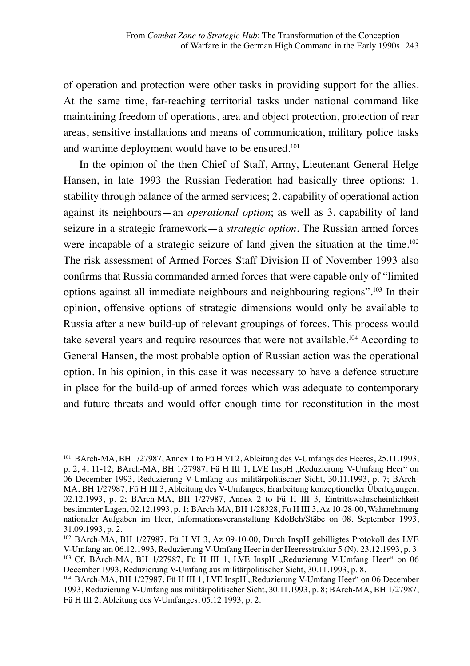of operation and protection were other tasks in providing support for the allies. At the same time, far-reaching territorial tasks under national command like maintaining freedom of operations, area and object protection, protection of rear areas, sensitive installations and means of communication, military police tasks and wartime deployment would have to be ensured.<sup>101</sup>

In the opinion of the then Chief of Staff, Army, Lieutenant General Helge Hansen, in late 1993 the Russian Federation had basically three options: 1. stability through balance of the armed services; 2. capability of operational action against its neighbours—an *operational option*; as well as 3. capability of land seizure in a strategic framework—a *strategic option*. The Russian armed forces were incapable of a strategic seizure of land given the situation at the time.<sup>102</sup> The risk assessment of Armed Forces Staff Division II of November 1993 also confirms that Russia commanded armed forces that were capable only of "limited options against all immediate neighbours and neighbouring regions".103 In their opinion, offensive options of strategic dimensions would only be available to Russia after a new build-up of relevant groupings of forces. This process would take several years and require resources that were not available.104 According to General Hansen, the most probable option of Russian action was the operational option. In his opinion, in this case it was necessary to have a defence structure in place for the build-up of armed forces which was adequate to contemporary and future threats and would offer enough time for reconstitution in the most

<sup>101</sup> BArch-MA, BH 1/27987, Annex 1 to Fü H VI 2, Ableitung des V-Umfangs des Heeres, 25.11.1993, p. 2, 4, 11-12; BArch-MA, BH 1/27987, Fü H III 1, LVE InspH "Reduzierung V-Umfang Heer" on 06 December 1993, Reduzierung V-Umfang aus militärpolitischer Sicht, 30.11.1993, p. 7; BArch-MA, BH 1/27987, Fü H III 3, Ableitung des V-Umfanges, Erarbeitung konzeptioneller Überlegungen, 02.12.1993, p. 2; BArch-MA, BH 1/27987, Annex 2 to Fü H III 3, Eintrittswahrscheinlichkeit bestimmter Lagen, 02.12.1993, p. 1; BArch-MA, BH 1/28328, Fü H III 3, Az 10-28-00, Wahrnehmung nationaler Aufgaben im Heer, Informationsveranstaltung KdoBeh/Stäbe on 08. September 1993, 31.09.1993, p. 2.

<sup>102</sup> BArch-MA, BH 1/27987, Fü H VI 3, Az 09-10-00, Durch InspH gebilligtes Protokoll des LVE V-Umfang am 06.12.1993, Reduzierung V-Umfang Heer in der Heeresstruktur 5 (N), 23.12.1993, p. 3.  $103$  Cf. BArch-MA, BH 1/27987, Fü H III 1, LVE InspH "Reduzierung V-Umfang Heer" on 06 December 1993, Reduzierung V-Umfang aus militärpolitischer Sicht, 30.11.1993, p. 8.

<sup>&</sup>lt;sup>104</sup> BArch-MA, BH 1/27987, Fü H III 1, LVE InspH, Reduzierung V-Umfang Heer" on 06 December 1993, Reduzierung V-Umfang aus militärpolitischer Sicht, 30.11.1993, p. 8; BArch-MA, BH 1/27987, Fü H III 2, Ableitung des V-Umfanges, 05.12.1993, p. 2.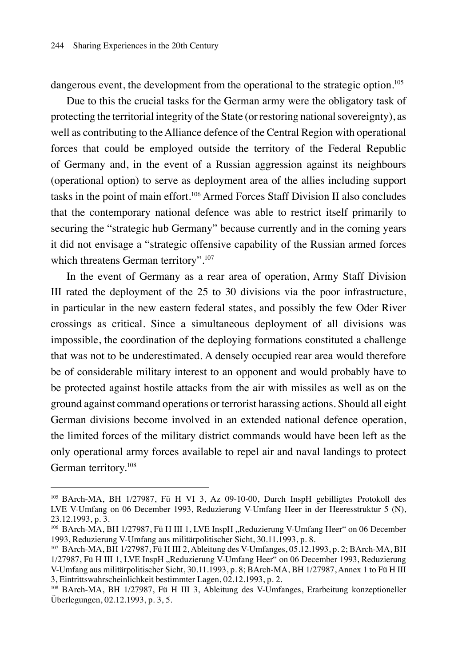dangerous event, the development from the operational to the strategic option.<sup>105</sup>

Due to this the crucial tasks for the German army were the obligatory task of protecting the territorial integrity of the State (or restoring national sovereignty), as well as contributing to the Alliance defence of the Central Region with operational forces that could be employed outside the territory of the Federal Republic of Germany and, in the event of a Russian aggression against its neighbours (operational option) to serve as deployment area of the allies including support tasks in the point of main effort.106 Armed Forces Staff Division II also concludes that the contemporary national defence was able to restrict itself primarily to securing the "strategic hub Germany" because currently and in the coming years it did not envisage a "strategic offensive capability of the Russian armed forces which threatens German territory".<sup>107</sup>

In the event of Germany as a rear area of operation, Army Staff Division III rated the deployment of the 25 to 30 divisions via the poor infrastructure, in particular in the new eastern federal states, and possibly the few Oder River crossings as critical. Since a simultaneous deployment of all divisions was impossible, the coordination of the deploying formations constituted a challenge that was not to be underestimated. A densely occupied rear area would therefore be of considerable military interest to an opponent and would probably have to be protected against hostile attacks from the air with missiles as well as on the ground against command operations or terrorist harassing actions. Should all eight German divisions become involved in an extended national defence operation, the limited forces of the military district commands would have been left as the only operational army forces available to repel air and naval landings to protect German territory.108

<sup>105</sup> BArch-MA, BH 1/27987, Fü H VI 3, Az 09-10-00, Durch InspH gebilligtes Protokoll des LVE V-Umfang on 06 December 1993, Reduzierung V-Umfang Heer in der Heeresstruktur 5 (N), 23.12.1993, p. 3.

<sup>&</sup>lt;sup>106</sup> BArch-MA, BH 1/27987, Fü H III 1, LVE InspH ..Reduzierung V-Umfang Heer" on 06 December 1993, Reduzierung V-Umfang aus militärpolitischer Sicht, 30.11.1993, p. 8.

<sup>107</sup> BArch-MA, BH 1/27987, Fü H III 2, Ableitung des V-Umfanges, 05.12.1993, p. 2; BArch-MA, BH 1/27987, Fü H III 1, LVE InspH "Reduzierung V-Umfang Heer" on 06 December 1993, Reduzierung V-Umfang aus militärpolitischer Sicht, 30.11.1993, p. 8; BArch-MA, BH 1/27987, Annex 1 to Fü H III 3, Eintrittswahrscheinlichkeit bestimmter Lagen, 02.12.1993, p. 2.

<sup>108</sup> BArch-MA, BH 1/27987, Fü H III 3, Ableitung des V-Umfanges, Erarbeitung konzeptioneller Überlegungen, 02.12.1993, p. 3, 5.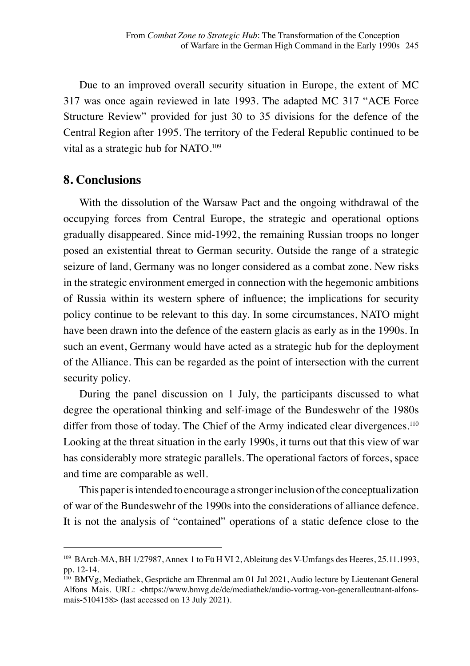Due to an improved overall security situation in Europe, the extent of MC 317 was once again reviewed in late 1993. The adapted MC 317 "ACE Force Structure Review" provided for just 30 to 35 divisions for the defence of the Central Region after 1995. The territory of the Federal Republic continued to be vital as a strategic hub for NATO.<sup>109</sup>

#### **8. Conclusions**

With the dissolution of the Warsaw Pact and the ongoing withdrawal of the occupying forces from Central Europe, the strategic and operational options gradually disappeared. Since mid-1992, the remaining Russian troops no longer posed an existential threat to German security. Outside the range of a strategic seizure of land, Germany was no longer considered as a combat zone. New risks in the strategic environment emerged in connection with the hegemonic ambitions of Russia within its western sphere of influence; the implications for security policy continue to be relevant to this day. In some circumstances, NATO might have been drawn into the defence of the eastern glacis as early as in the 1990s. In such an event, Germany would have acted as a strategic hub for the deployment of the Alliance. This can be regarded as the point of intersection with the current security policy.

During the panel discussion on 1 July, the participants discussed to what degree the operational thinking and self-image of the Bundeswehr of the 1980s differ from those of today. The Chief of the Army indicated clear divergences.<sup>110</sup> Looking at the threat situation in the early 1990s, it turns out that this view of war has considerably more strategic parallels. The operational factors of forces, space and time are comparable as well.

This paper is intended to encourage a stronger inclusion of the conceptualization of war of the Bundeswehr of the 1990s into the considerations of alliance defence. It is not the analysis of "contained" operations of a static defence close to the

<sup>109</sup> BArch-MA, BH 1/27987, Annex 1 to Fü H VI 2, Ableitung des V-Umfangs des Heeres, 25.11.1993, pp. 12-14.

<sup>110</sup> BMVg, Mediathek, Gespräche am Ehrenmal am 01 Jul 2021, Audio lecture by Lieutenant General Alfons Mais. URL: <https://www.bmvg.de/de/mediathek/audio-vortrag-von-generalleutnant-alfonsmais-5104158> (last accessed on 13 July 2021).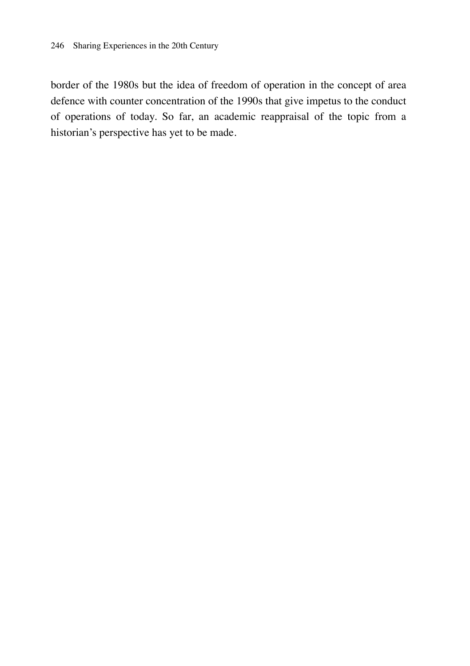border of the 1980s but the idea of freedom of operation in the concept of area defence with counter concentration of the 1990s that give impetus to the conduct of operations of today. So far, an academic reappraisal of the topic from a historian's perspective has yet to be made.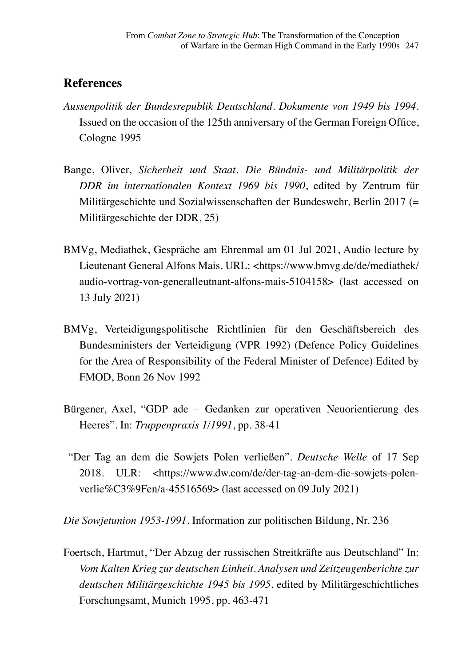### **References**

- *Aussenpolitik der Bundesrepublik Deutschland. Dokumente von 1949 bis 1994*. Issued on the occasion of the 125th anniversary of the German Foreign Office, Cologne 1995
- Bange, Oliver, *Sicherheit und Staat. Die Bündnis- und Militärpolitik der DDR im internationalen Kontext 1969 bis 1990*, edited by Zentrum für Militärgeschichte und Sozialwissenschaften der Bundeswehr, Berlin 2017 (= Militärgeschichte der DDR, 25)
- BMVg, Mediathek, Gespräche am Ehrenmal am 01 Jul 2021, Audio lecture by Lieutenant General Alfons Mais. URL: <https://www.bmvg.de/de/mediathek/ audio-vortrag-von-generalleutnant-alfons-mais-5104158> (last accessed on 13 July 2021)
- BMVg, Verteidigungspolitische Richtlinien für den Geschäftsbereich des Bundesministers der Verteidigung (VPR 1992) (Defence Policy Guidelines for the Area of Responsibility of the Federal Minister of Defence) Edited by FMOD, Bonn 26 Nov 1992
- Bürgener, Axel, "GDP ade Gedanken zur operativen Neuorientierung des Heeres". In: *Truppenpraxis 1/1991*, pp. 38-41
	- "Der Tag an dem die Sowjets Polen verließen". *Deutsche Welle* of 17 Sep 2018. ULR: <https://www.dw.com/de/der-tag-an-dem-die-sowjets-polenverlie%C3%9Fen/a-45516569> (last accessed on 09 July 2021)

*Die Sowjetunion 1953-1991.* Information zur politischen Bildung, Nr. 236

Foertsch, Hartmut, "Der Abzug der russischen Streitkräfte aus Deutschland" In: *Vom Kalten Krieg zur deutschen Einheit. Analysen und Zeitzeugenberichte zur deutschen Militärgeschichte 1945 bis 1995*, edited by Militärgeschichtliches Forschungsamt, Munich 1995, pp. 463-471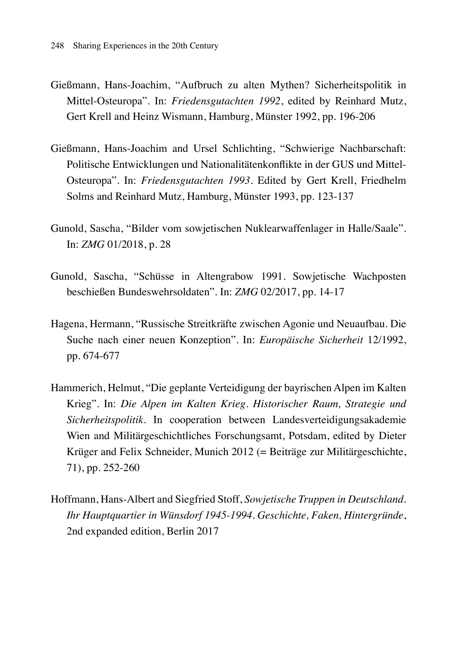- Gießmann, Hans-Joachim, "Aufbruch zu alten Mythen? Sicherheitspolitik in Mittel-Osteuropa". In: *Friedensgutachten 1992*, edited by Reinhard Mutz, Gert Krell and Heinz Wismann, Hamburg, Münster 1992, pp. 196-206
- Gießmann, Hans-Joachim and Ursel Schlichting, "Schwierige Nachbarschaft: Politische Entwicklungen und Nationalitätenkonflikte in der GUS und Mittel-Osteuropa". In: *Friedensgutachten 1993*. Edited by Gert Krell, Friedhelm Solms and Reinhard Mutz, Hamburg, Münster 1993, pp. 123-137
- Gunold, Sascha, "Bilder vom sowjetischen Nuklearwaffenlager in Halle/Saale". In: *ZMG* 01/2018, p. 28
- Gunold, Sascha, "Schüsse in Altengrabow 1991. Sowjetische Wachposten beschießen Bundeswehrsoldaten". In: *ZMG* 02/2017, pp. 14-17
- Hagena, Hermann, "Russische Streitkräfte zwischen Agonie und Neuaufbau. Die Suche nach einer neuen Konzeption". In: *Europäische Sicherheit* 12/1992, pp. 674-677
- Hammerich, Helmut, "Die geplante Verteidigung der bayrischen Alpen im Kalten Krieg". In: *Die Alpen im Kalten Krieg. Historischer Raum, Strategie und Sicherheitspolitik*. In cooperation between Landesverteidigungsakademie Wien and Militärgeschichtliches Forschungsamt, Potsdam, edited by Dieter Krüger and Felix Schneider, Munich 2012 (= Beiträge zur Militärgeschichte, 71), pp. 252-260
- Hoffmann, Hans-Albert and Siegfried Stoff, *Sowjetische Truppen in Deutschland. Ihr Hauptquartier in Wünsdorf 1945-1994. Geschichte, Faken, Hintergründe*, 2nd expanded edition, Berlin 2017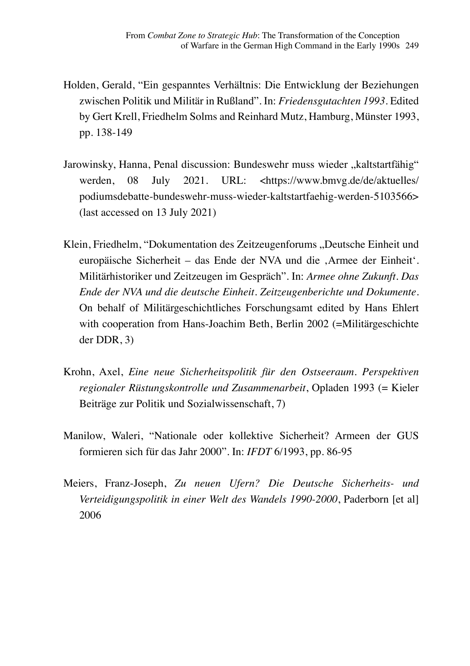- Holden, Gerald, "Ein gespanntes Verhältnis: Die Entwicklung der Beziehungen zwischen Politik und Militär in Rußland". In: *Friedensgutachten 1993*. Edited by Gert Krell, Friedhelm Solms and Reinhard Mutz, Hamburg, Münster 1993, pp. 138-149
- Jarowinsky, Hanna, Penal discussion: Bundeswehr muss wieder "kaltstartfähig" werden, 08 July 2021. URL: <https://www.bmvg.de/de/aktuelles/ podiumsdebatte-bundeswehr-muss-wieder-kaltstartfaehig-werden-5103566> (last accessed on 13 July 2021)
- Klein, Friedhelm, "Dokumentation des Zeitzeugenforums "Deutsche Einheit und europäische Sicherheit – das Ende der NVA und die ,Armee der Einheit'. Militärhistoriker und Zeitzeugen im Gespräch". In: *Armee ohne Zukunft. Das Ende der NVA und die deutsche Einheit. Zeitzeugenberichte und Dokumente.* On behalf of Militärgeschichtliches Forschungsamt edited by Hans Ehlert with cooperation from Hans-Joachim Beth, Berlin 2002 (=Militärgeschichte der DDR, 3)
- Krohn, Axel, *Eine neue Sicherheitspolitik für den Ostseeraum. Perspektiven regionaler Rüstungskontrolle und Zusammenarbeit*, Opladen 1993 (= Kieler Beiträge zur Politik und Sozialwissenschaft, 7)
- Manilow, Waleri, "Nationale oder kollektive Sicherheit? Armeen der GUS formieren sich für das Jahr 2000". In: *IFDT* 6/1993, pp. 86-95
- Meiers, Franz-Joseph, *Zu neuen Ufern? Die Deutsche Sicherheits- und Verteidigungspolitik in einer Welt des Wandels 1990-2000*, Paderborn [et al] 2006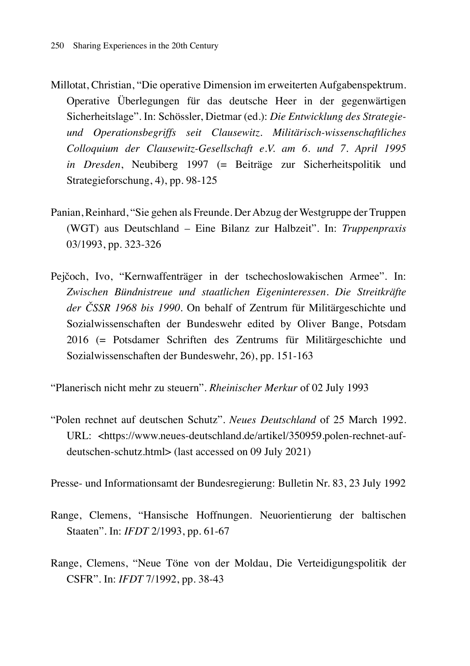- Millotat, Christian, "Die operative Dimension im erweiterten Aufgabenspektrum. Operative Überlegungen für das deutsche Heer in der gegenwärtigen Sicherheitslage". In: Schössler, Dietmar (ed.): *Die Entwicklung des Strategieund Operationsbegriffs seit Clausewitz. Militärisch-wissenschaftliches Colloquium der Clausewitz-Gesellschaft e.V. am 6. und 7. April 1995 in Dresden*, Neubiberg 1997 (= Beiträge zur Sicherheitspolitik und Strategieforschung, 4), pp. 98-125
- Panian, Reinhard, "Sie gehen als Freunde. Der Abzug der Westgruppe der Truppen (WGT) aus Deutschland – Eine Bilanz zur Halbzeit". In: *Truppenpraxis* 03/1993, pp. 323-326
- Pejčoch, Ivo, "Kernwaffenträger in der tschechoslowakischen Armee". In: *Zwischen Bündnistreue und staatlichen Eigeninteressen. Die Streitkräfte der ČSSR 1968 bis 1990*. On behalf of Zentrum für Militärgeschichte und Sozialwissenschaften der Bundeswehr edited by Oliver Bange, Potsdam 2016 (= Potsdamer Schriften des Zentrums für Militärgeschichte und Sozialwissenschaften der Bundeswehr, 26), pp. 151-163

"Planerisch nicht mehr zu steuern". *Rheinischer Merkur* of 02 July 1993

"Polen rechnet auf deutschen Schutz". *Neues Deutschland* of 25 March 1992. URL: <https://www.neues-deutschland.de/artikel/350959.polen-rechnet-aufdeutschen-schutz.html> (last accessed on 09 July 2021)

Presse- und Informationsamt der Bundesregierung: Bulletin Nr. 83, 23 July 1992

- Range, Clemens, "Hansische Hoffnungen. Neuorientierung der baltischen Staaten". In: *IFDT* 2/1993, pp. 61-67
- Range, Clemens, "Neue Töne von der Moldau, Die Verteidigungspolitik der CSFR". In: *IFDT* 7/1992, pp. 38-43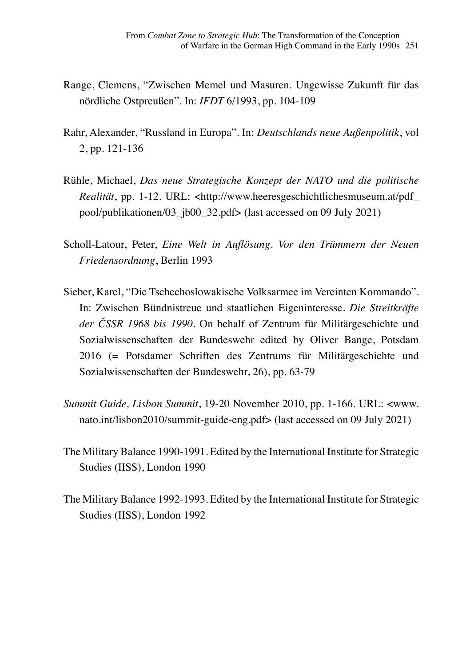- Range, Clemens, "Zwischen Memel und Masuren. Ungewisse Zukunft für das nördliche Ostpreußen". In: *IFDT* 6/1993, pp. 104-109
- Rahr, Alexander, "Russland in Europa". In: *Deutschlands neue Außenpolitik*, vol 2, pp. 121-136
- Rühle, Michael, *Das neue Strategische Konzept der NATO und die politische Realität*, pp. 1-12. URL: <http://www.heeresgeschichtlichesmuseum.at/pdf\_ pool/publikationen/03\_jb00\_32.pdf> (last accessed on 09 July 2021)
- Scholl-Latour, Peter, *Eine Welt in Auflösung. Vor den Trümmern der Neuen Friedensordnung*, Berlin 1993
- Sieber, Karel, "Die Tschechoslowakische Volksarmee im Vereinten Kommando". In: Zwischen Bündnistreue und staatlichen Eigeninteresse. *Die Streitkräfte der ČSSR 1968 bis 1990*. On behalf of Zentrum für Militärgeschichte und Sozialwissenschaften der Bundeswehr edited by Oliver Bange, Potsdam 2016 (= Potsdamer Schriften des Zentrums für Militärgeschichte und Sozialwissenschaften der Bundeswehr, 26), pp. 63-79
- *Summit Guide, Lisbon Summit*, 19-20 November 2010, pp. 1-166. URL: <www. nato.int/lisbon2010/summit-guide-eng.pdf> (last accessed on 09 July 2021)
- The Military Balance 1990-1991. Edited by the International Institute for Strategic Studies (IISS), London 1990
- The Military Balance 1992-1993. Edited by the International Institute for Strategic Studies (IISS), London 1992